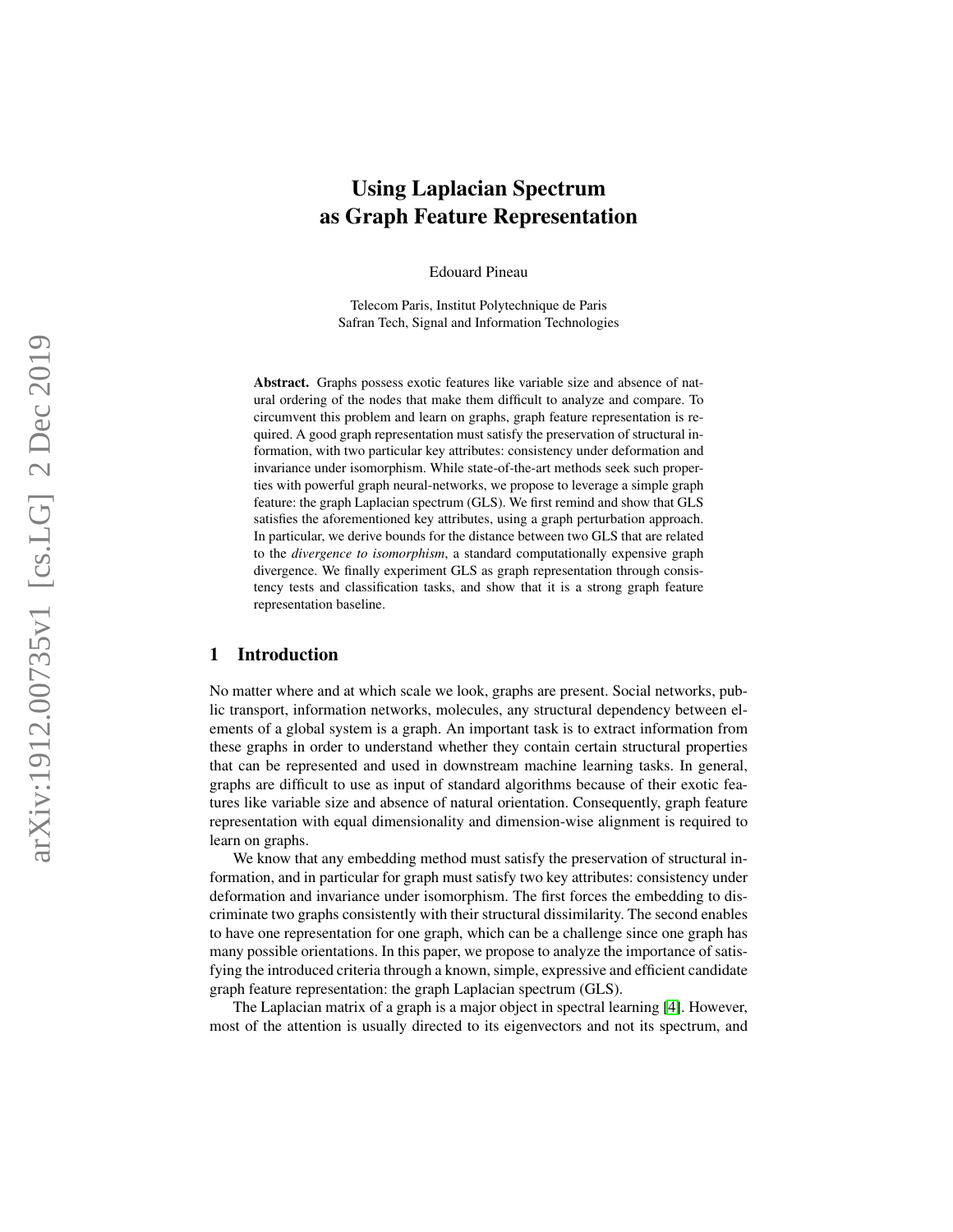# Using Laplacian Spectrum as Graph Feature Representation

Edouard Pineau

Telecom Paris, Institut Polytechnique de Paris Safran Tech, Signal and Information Technologies

Abstract. Graphs possess exotic features like variable size and absence of natural ordering of the nodes that make them difficult to analyze and compare. To circumvent this problem and learn on graphs, graph feature representation is required. A good graph representation must satisfy the preservation of structural information, with two particular key attributes: consistency under deformation and invariance under isomorphism. While state-of-the-art methods seek such properties with powerful graph neural-networks, we propose to leverage a simple graph feature: the graph Laplacian spectrum (GLS). We first remind and show that GLS satisfies the aforementioned key attributes, using a graph perturbation approach. In particular, we derive bounds for the distance between two GLS that are related to the *divergence to isomorphism*, a standard computationally expensive graph divergence. We finally experiment GLS as graph representation through consistency tests and classification tasks, and show that it is a strong graph feature representation baseline.

## 1 Introduction

No matter where and at which scale we look, graphs are present. Social networks, public transport, information networks, molecules, any structural dependency between elements of a global system is a graph. An important task is to extract information from these graphs in order to understand whether they contain certain structural properties that can be represented and used in downstream machine learning tasks. In general, graphs are difficult to use as input of standard algorithms because of their exotic features like variable size and absence of natural orientation. Consequently, graph feature representation with equal dimensionality and dimension-wise alignment is required to learn on graphs.

We know that any embedding method must satisfy the preservation of structural information, and in particular for graph must satisfy two key attributes: consistency under deformation and invariance under isomorphism. The first forces the embedding to discriminate two graphs consistently with their structural dissimilarity. The second enables to have one representation for one graph, which can be a challenge since one graph has many possible orientations. In this paper, we propose to analyze the importance of satisfying the introduced criteria through a known, simple, expressive and efficient candidate graph feature representation: the graph Laplacian spectrum (GLS).

The Laplacian matrix of a graph is a major object in spectral learning [\[4\]](#page-10-0). However, most of the attention is usually directed to its eigenvectors and not its spectrum, and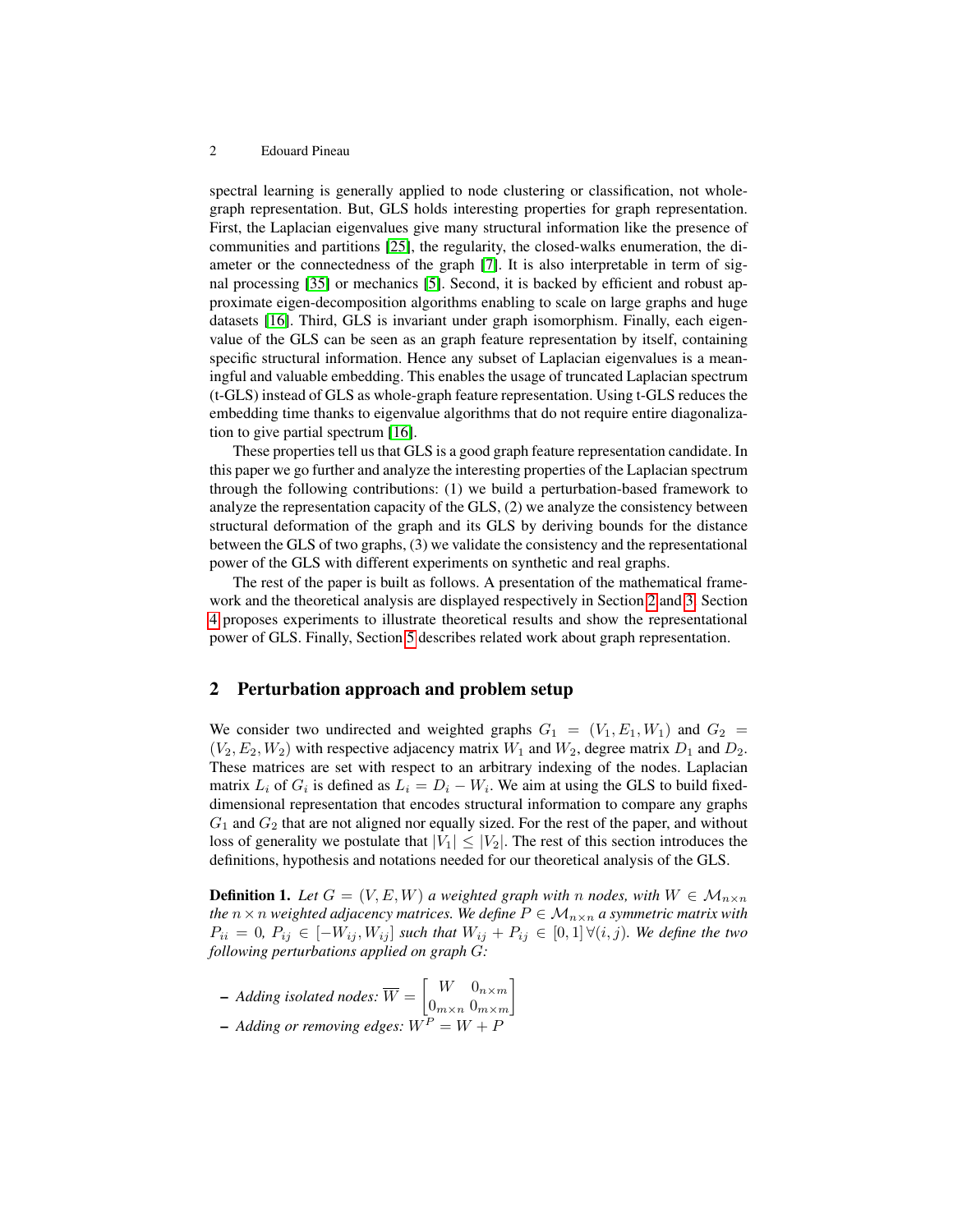spectral learning is generally applied to node clustering or classification, not wholegraph representation. But, GLS holds interesting properties for graph representation. First, the Laplacian eigenvalues give many structural information like the presence of communities and partitions [\[25\]](#page-11-0), the regularity, the closed-walks enumeration, the diameter or the connectedness of the graph [\[7\]](#page-10-1). It is also interpretable in term of signal processing [\[35\]](#page-11-1) or mechanics [\[5\]](#page-10-2). Second, it is backed by efficient and robust approximate eigen-decomposition algorithms enabling to scale on large graphs and huge datasets [\[16\]](#page-10-3). Third, GLS is invariant under graph isomorphism. Finally, each eigenvalue of the GLS can be seen as an graph feature representation by itself, containing specific structural information. Hence any subset of Laplacian eigenvalues is a meaningful and valuable embedding. This enables the usage of truncated Laplacian spectrum (t-GLS) instead of GLS as whole-graph feature representation. Using t-GLS reduces the embedding time thanks to eigenvalue algorithms that do not require entire diagonalization to give partial spectrum [\[16\]](#page-10-3).

These properties tell us that GLS is a good graph feature representation candidate. In this paper we go further and analyze the interesting properties of the Laplacian spectrum through the following contributions: (1) we build a perturbation-based framework to analyze the representation capacity of the GLS, (2) we analyze the consistency between structural deformation of the graph and its GLS by deriving bounds for the distance between the GLS of two graphs, (3) we validate the consistency and the representational power of the GLS with different experiments on synthetic and real graphs.

The rest of the paper is built as follows. A presentation of the mathematical framework and the theoretical analysis are displayed respectively in Section [2](#page-1-0) and [3.](#page-2-0) Section [4](#page-4-0) proposes experiments to illustrate theoretical results and show the representational power of GLS. Finally, Section [5](#page-8-0) describes related work about graph representation.

## <span id="page-1-0"></span>2 Perturbation approach and problem setup

We consider two undirected and weighted graphs  $G_1 = (V_1, E_1, W_1)$  and  $G_2 =$  $(V_2, E_2, W_2)$  with respective adjacency matrix  $W_1$  and  $W_2$ , degree matrix  $D_1$  and  $D_2$ . These matrices are set with respect to an arbitrary indexing of the nodes. Laplacian matrix  $L_i$  of  $G_i$  is defined as  $L_i = D_i - W_i$ . We aim at using the GLS to build fixeddimensional representation that encodes structural information to compare any graphs  $G_1$  and  $G_2$  that are not aligned nor equally sized. For the rest of the paper, and without loss of generality we postulate that  $|V_1| \leq |V_2|$ . The rest of this section introduces the definitions, hypothesis and notations needed for our theoretical analysis of the GLS.

**Definition 1.** Let  $G = (V, E, W)$  a weighted graph with n nodes, with  $W \in \mathcal{M}_{n \times n}$ *the*  $n \times n$  *weighted adjacency matrices. We define*  $P \in \mathcal{M}_{n \times n}$  *a symmetric matrix with*  $P_{ii} = 0$ ,  $P_{ij} \in [-W_{ij}, W_{ij}]$  *such that*  $W_{ij} + P_{ij} \in [0,1] \forall (i,j)$ *. We define the two following perturbations applied on graph* G*:*

 $-$  *Adding isolated nodes:*  $\overline{W} = \begin{bmatrix} W & 0_{n \times m} \\ 0 & 0 \end{bmatrix}$  $0_{m \times n}$   $0_{m \times m}$ 1  $-$  *Adding or removing edges:*  $W^P = W + P$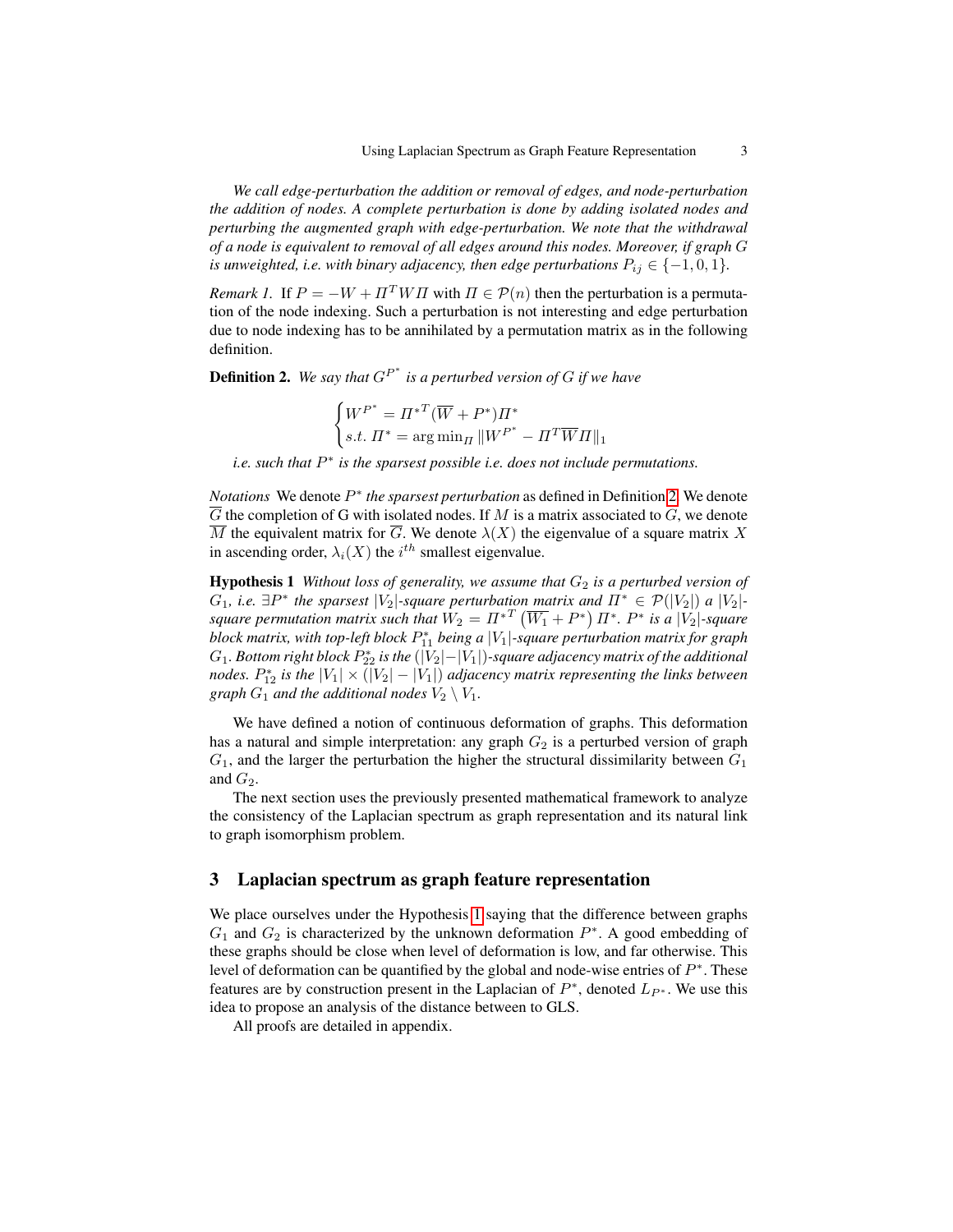*We call edge-perturbation the addition or removal of edges, and node-perturbation the addition of nodes. A complete perturbation is done by adding isolated nodes and perturbing the augmented graph with edge-perturbation. We note that the withdrawal of a node is equivalent to removal of all edges around this nodes. Moreover, if graph* G *is unweighted, i.e. with binary adjacency, then edge perturbations*  $P_{ij} \in \{-1, 0, 1\}$ *.* 

*Remark 1.* If  $P = -W + \Pi^T W \Pi$  with  $\Pi \in \mathcal{P}(n)$  then the perturbation is a permutation of the node indexing. Such a perturbation is not interesting and edge perturbation due to node indexing has to be annihilated by a permutation matrix as in the following definition.

<span id="page-2-1"></span>**Definition 2.** We say that  $G^{P^*}$  is a perturbed version of G if we have

$$
\begin{cases} W^{P^*} = \Pi^{*T} (\overline{W} + P^*) \Pi^* \\ s.t. \ \Pi^* = \arg \min_{\Pi} ||W^{P^*} - \Pi^T \overline{W} \Pi||_1 \end{cases}
$$

*i.e.* such that  $P^*$  is the sparsest possible *i.e.* does not include permutations.

*Notations* We denote  $P^*$  the sparsest perturbation as defined in Definition [2.](#page-2-1) We denote  $\overline{G}$  the completion of G with isolated nodes. If M is a matrix associated to G, we denote  $\overline{M}$  the equivalent matrix for  $\overline{G}$ . We denote  $\lambda(X)$  the eigenvalue of a square matrix X in ascending order,  $\lambda_i(X)$  the  $i^{th}$  smallest eigenvalue.

<span id="page-2-2"></span>**Hypothesis 1** *Without loss of generality, we assume that*  $G_2$  *is a perturbed version of*  $G_1$ , *i.e.*  $\exists P^*$  the sparsest  $|V_2|$ -square perturbation matrix and  $\Pi^* \in \mathcal{P}(|V_2|)$  a  $|V_2|$ square permutation matrix such that  $W_2 = \Pi^{*T} \left( \overline{W_1} + P^* \right) \Pi^*$ .  $P^*$  is a  $|V_2|$ -square  $b$ lock matrix, with top-left  $b$ lock  $P_{11}^*$  being a  $|V_1|$ -square perturbation matrix for graph  $G_1$ . Bottom right block  $P_{22}^*$  is the  $\left(|V_2|{-}|V_1|\right)$ -square adjacency matrix of the additional *nodes.*  $P_{12}^*$  *is the*  $|V_1| \times (|V_2| - |V_1|)$  *adjacency matrix representing the links between graph*  $G_1$  *and the additional nodes*  $V_2 \setminus V_1$ *.* 

We have defined a notion of continuous deformation of graphs. This deformation has a natural and simple interpretation: any graph  $G_2$  is a perturbed version of graph  $G_1$ , and the larger the perturbation the higher the structural dissimilarity between  $G_1$ and  $G_2$ .

The next section uses the previously presented mathematical framework to analyze the consistency of the Laplacian spectrum as graph representation and its natural link to graph isomorphism problem.

## <span id="page-2-0"></span>3 Laplacian spectrum as graph feature representation

We place ourselves under the Hypothesis [1](#page-2-2) saying that the difference between graphs  $G_1$  and  $G_2$  is characterized by the unknown deformation  $P^*$ . A good embedding of these graphs should be close when level of deformation is low, and far otherwise. This level of deformation can be quantified by the global and node-wise entries of  $P^*$ . These features are by construction present in the Laplacian of  $P^*$ , denoted  $L_{P^*}$ . We use this idea to propose an analysis of the distance between to GLS.

All proofs are detailed in appendix.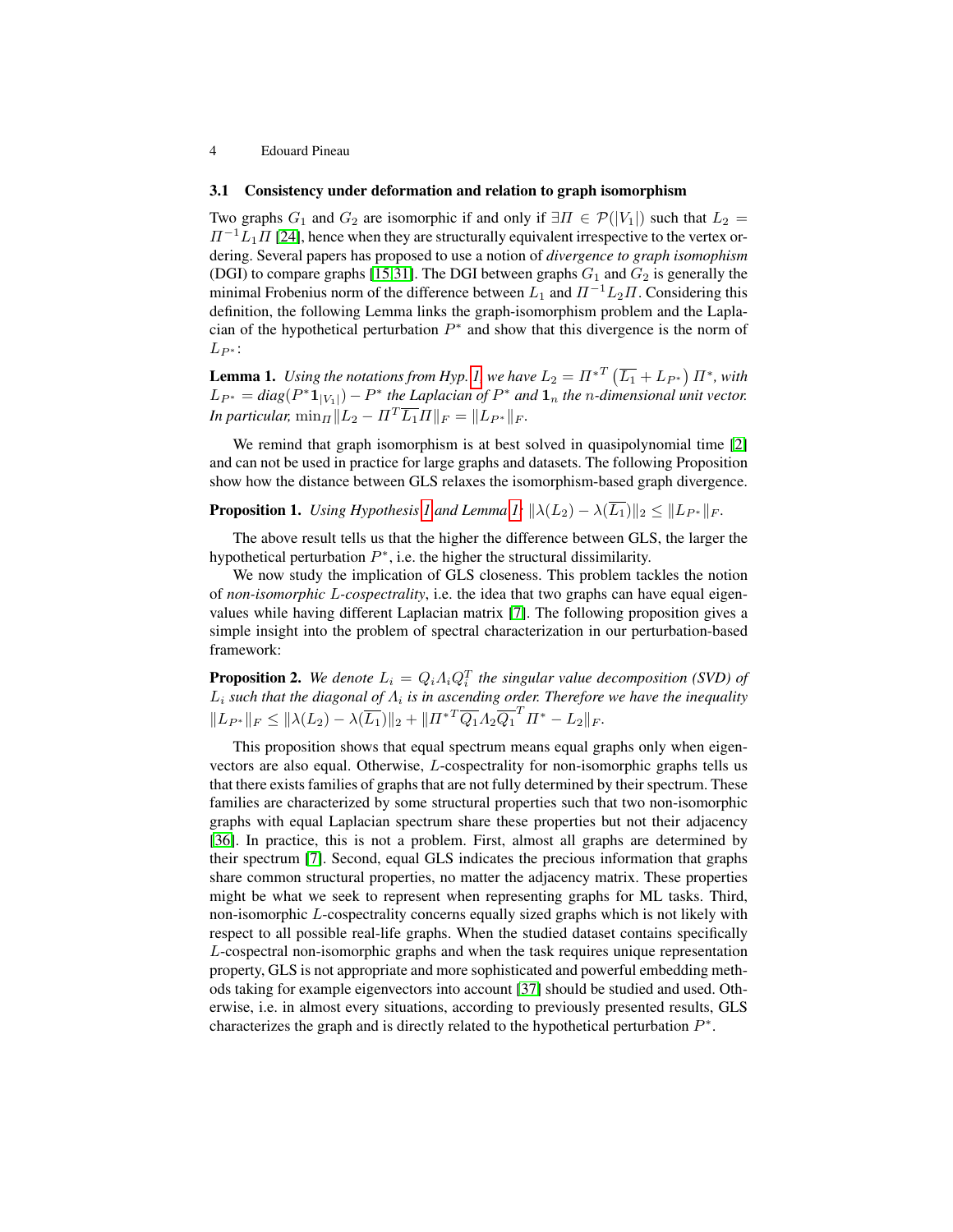#### 3.1 Consistency under deformation and relation to graph isomorphism

Two graphs  $G_1$  and  $G_2$  are isomorphic if and only if  $\exists \Pi \in \mathcal{P}(|V_1|)$  such that  $L_2 =$  $\Pi^{-1}L_1\Pi$  [\[24\]](#page-11-2), hence when they are structurally equivalent irrespective to the vertex ordering. Several papers has proposed to use a notion of *divergence to graph isomophism* (DGI) to compare graphs [\[15,](#page-10-4)[31\]](#page-11-3). The DGI between graphs  $G_1$  and  $G_2$  is generally the minimal Frobenius norm of the difference between  $L_1$  and  $\Pi^{-1}L_2\Pi$ . Considering this definition, the following Lemma links the graph-isomorphism problem and the Laplacian of the hypothetical perturbation  $P^*$  and show that this divergence is the norm of  $L_{P^*}$ :

<span id="page-3-0"></span>**Lemma 1.** Using the notations from Hyp. [1,](#page-2-2) we have  $L_2 = \Pi^{*T} (\overline{L_1} + L_{P^*}) \Pi^*$ , with  $L_{P^*} = diag(P^* \mathbf{1}_{|V_1|}) - P^*$  the Laplacian of  $P^*$  and  $\mathbf{1}_n$  the *n*-dimensional unit vector. *In particular,*  $\min_{\Pi} ||L_2 - \Pi^T \overline{L_1} \Pi||_F = ||L_{P^*}||_F$ .

We remind that graph isomorphism is at best solved in quasipolynomial time [\[2\]](#page-10-5) and can not be used in practice for large graphs and datasets. The following Proposition show how the distance between GLS relaxes the isomorphism-based graph divergence.

<span id="page-3-1"></span>**Proposition [1](#page-2-2).** *Using Hypothesis 1 and Lemma [1:](#page-3-0)*  $\|\lambda(L_2) - \lambda(\overline{L_1})\|_2 \leq \|L_{P^*}\|_F$ .

The above result tells us that the higher the difference between GLS, the larger the hypothetical perturbation  $P^*$ , i.e. the higher the structural dissimilarity.

We now study the implication of GLS closeness. This problem tackles the notion of *non-isomorphic* L*-cospectrality*, i.e. the idea that two graphs can have equal eigenvalues while having different Laplacian matrix [\[7\]](#page-10-1). The following proposition gives a simple insight into the problem of spectral characterization in our perturbation-based framework:

<span id="page-3-2"></span>**Proposition 2.** We denote  $L_i = Q_i \Lambda_i Q_i^T$  the singular value decomposition (SVD) of  $L_i$  such that the diagonal of  $\Lambda_i$  is in ascending order. Therefore we have the inequality  $||L_{P^*}||_F \le ||\lambda(L_2) - \lambda(\overline{L_1})||_2 + ||\overline{H^*}^T \overline{Q_1} \Lambda_2 \overline{Q_1}^T \overline{H^*} - L_2||_F.$ 

This proposition shows that equal spectrum means equal graphs only when eigenvectors are also equal. Otherwise, L-cospectrality for non-isomorphic graphs tells us that there exists families of graphs that are not fully determined by their spectrum. These families are characterized by some structural properties such that two non-isomorphic graphs with equal Laplacian spectrum share these properties but not their adjacency [\[36\]](#page-11-4). In practice, this is not a problem. First, almost all graphs are determined by their spectrum [\[7\]](#page-10-1). Second, equal GLS indicates the precious information that graphs share common structural properties, no matter the adjacency matrix. These properties might be what we seek to represent when representing graphs for ML tasks. Third, non-isomorphic L-cospectrality concerns equally sized graphs which is not likely with respect to all possible real-life graphs. When the studied dataset contains specifically L-cospectral non-isomorphic graphs and when the task requires unique representation property, GLS is not appropriate and more sophisticated and powerful embedding methods taking for example eigenvectors into account [\[37\]](#page-11-5) should be studied and used. Otherwise, i.e. in almost every situations, according to previously presented results, GLS characterizes the graph and is directly related to the hypothetical perturbation  $P^*$ .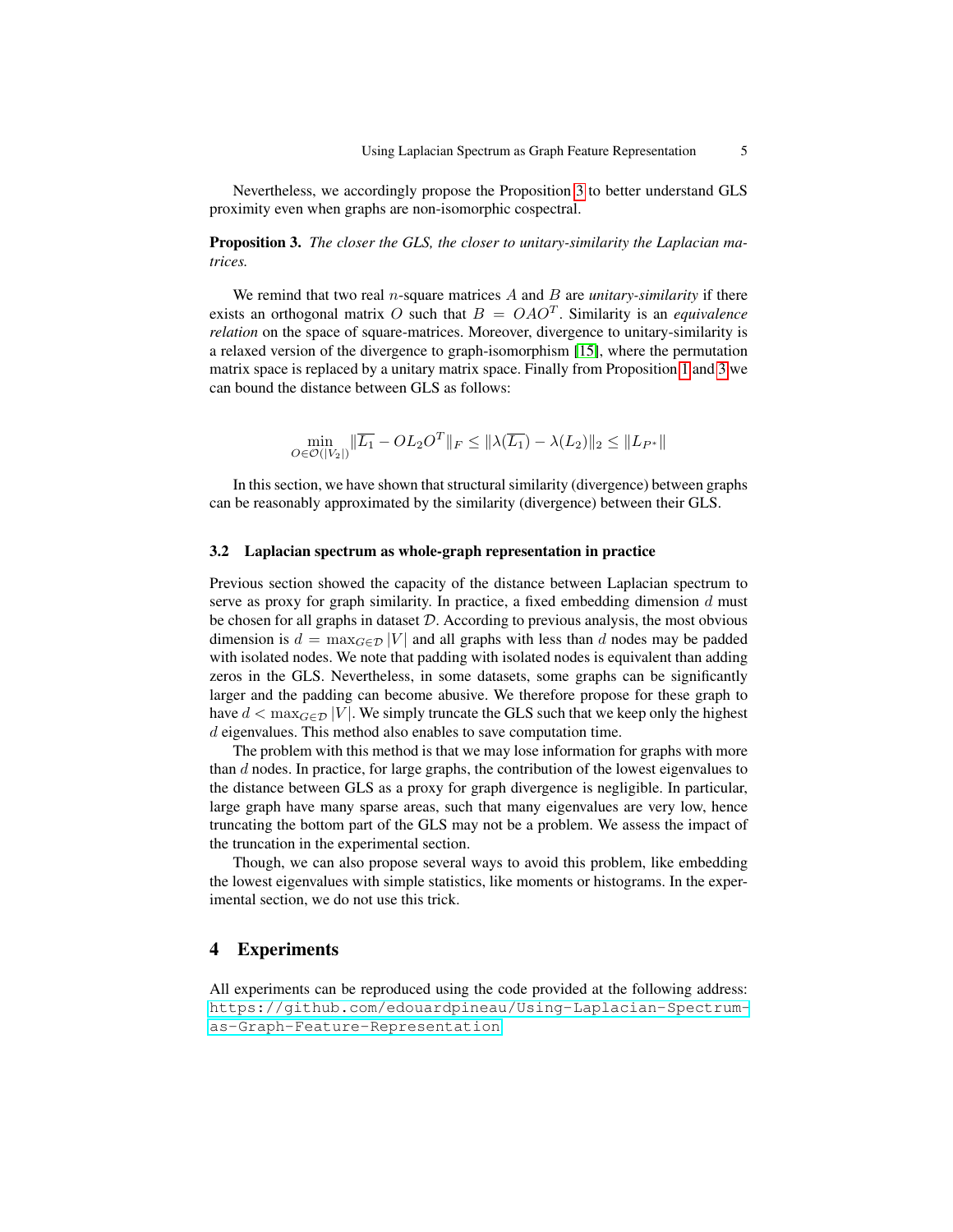Nevertheless, we accordingly propose the Proposition [3](#page-4-1) to better understand GLS proximity even when graphs are non-isomorphic cospectral.

<span id="page-4-1"></span>Proposition 3. *The closer the GLS, the closer to unitary-similarity the Laplacian matrices.*

We remind that two real  $n$ -square matrices  $A$  and  $B$  are *unitary-similarity* if there exists an orthogonal matrix O such that  $B = OAO<sup>T</sup>$ . Similarity is an *equivalence relation* on the space of square-matrices. Moreover, divergence to unitary-similarity is a relaxed version of the divergence to graph-isomorphism [\[15\]](#page-10-4), where the permutation matrix space is replaced by a unitary matrix space. Finally from Proposition [1](#page-3-1) and [3](#page-4-1) we can bound the distance between GLS as follows:

$$
\min_{O \in \mathcal{O}(|V_2|)} \|\overline{L_1} - OL_2O^T\|_F \le \|\lambda(\overline{L_1}) - \lambda(L_2)\|_2 \le \|L_{P^*}\|
$$

In this section, we have shown that structural similarity (divergence) between graphs can be reasonably approximated by the similarity (divergence) between their GLS.

#### 3.2 Laplacian spectrum as whole-graph representation in practice

Previous section showed the capacity of the distance between Laplacian spectrum to serve as proxy for graph similarity. In practice, a fixed embedding dimension  $d$  must be chosen for all graphs in dataset  $D$ . According to previous analysis, the most obvious dimension is  $d = \max_{G \in \mathcal{D}} |V|$  and all graphs with less than d nodes may be padded with isolated nodes. We note that padding with isolated nodes is equivalent than adding zeros in the GLS. Nevertheless, in some datasets, some graphs can be significantly larger and the padding can become abusive. We therefore propose for these graph to have  $d < \max_{G \in \mathcal{D}} |V|$ . We simply truncate the GLS such that we keep only the highest d eigenvalues. This method also enables to save computation time.

The problem with this method is that we may lose information for graphs with more than  $d$  nodes. In practice, for large graphs, the contribution of the lowest eigenvalues to the distance between GLS as a proxy for graph divergence is negligible. In particular, large graph have many sparse areas, such that many eigenvalues are very low, hence truncating the bottom part of the GLS may not be a problem. We assess the impact of the truncation in the experimental section.

Though, we can also propose several ways to avoid this problem, like embedding the lowest eigenvalues with simple statistics, like moments or histograms. In the experimental section, we do not use this trick.

## <span id="page-4-0"></span>4 Experiments

All experiments can be reproduced using the code provided at the following address: [https://github.com/edouardpineau/Using-Laplacian-Spectrum](https://github.com/edouardpineau/Using-Laplacian-Spectrum-as-Graph-Feature-Representation)[as-Graph-Feature-Representation](https://github.com/edouardpineau/Using-Laplacian-Spectrum-as-Graph-Feature-Representation)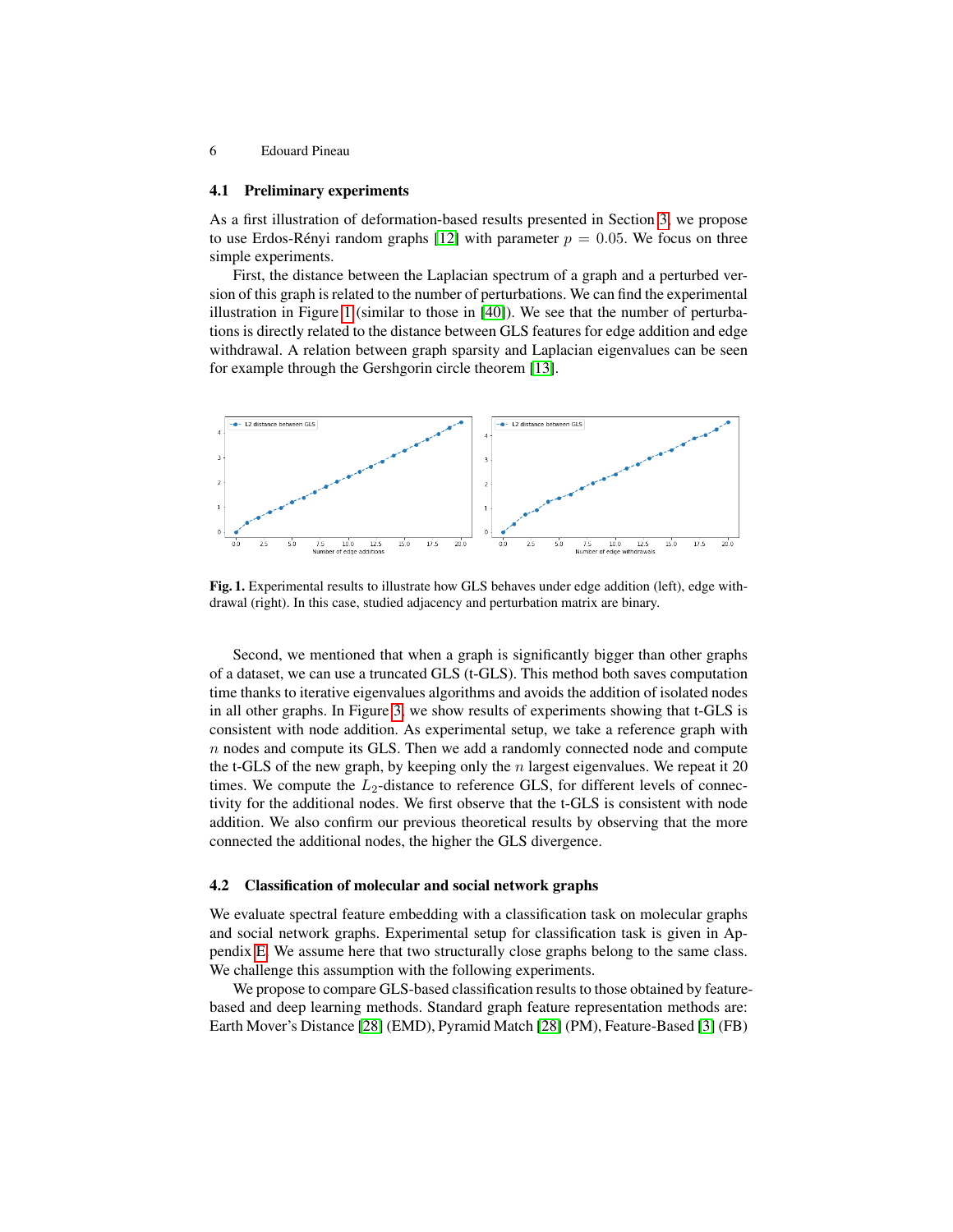#### 4.1 Preliminary experiments

As a first illustration of deformation-based results presented in Section [3,](#page-2-0) we propose to use Erdos-Rényi random graphs [\[12\]](#page-10-6) with parameter  $p = 0.05$ . We focus on three simple experiments.

First, the distance between the Laplacian spectrum of a graph and a perturbed version of this graph is related to the number of perturbations. We can find the experimental illustration in Figure [1](#page-5-0) (similar to those in [\[40\]](#page-11-6)). We see that the number of perturbations is directly related to the distance between GLS features for edge addition and edge withdrawal. A relation between graph sparsity and Laplacian eigenvalues can be seen for example through the Gershgorin circle theorem [\[13\]](#page-10-7).



<span id="page-5-0"></span>Fig. 1. Experimental results to illustrate how GLS behaves under edge addition (left), edge withdrawal (right). In this case, studied adjacency and perturbation matrix are binary.

Second, we mentioned that when a graph is significantly bigger than other graphs of a dataset, we can use a truncated GLS (t-GLS). This method both saves computation time thanks to iterative eigenvalues algorithms and avoids the addition of isolated nodes in all other graphs. In Figure [3,](#page-8-1) we show results of experiments showing that t-GLS is consistent with node addition. As experimental setup, we take a reference graph with n nodes and compute its GLS. Then we add a randomly connected node and compute the t-GLS of the new graph, by keeping only the  $n$  largest eigenvalues. We repeat it 20 times. We compute the  $L_2$ -distance to reference GLS, for different levels of connectivity for the additional nodes. We first observe that the t-GLS is consistent with node addition. We also confirm our previous theoretical results by observing that the more connected the additional nodes, the higher the GLS divergence.

#### 4.2 Classification of molecular and social network graphs

We evaluate spectral feature embedding with a classification task on molecular graphs and social network graphs. Experimental setup for classification task is given in Appendix [E.](#page-14-0) We assume here that two structurally close graphs belong to the same class. We challenge this assumption with the following experiments.

We propose to compare GLS-based classification results to those obtained by featurebased and deep learning methods. Standard graph feature representation methods are: Earth Mover's Distance [\[28\]](#page-11-7) (EMD), Pyramid Match [\[28\]](#page-11-7) (PM), Feature-Based [\[3\]](#page-10-8) (FB)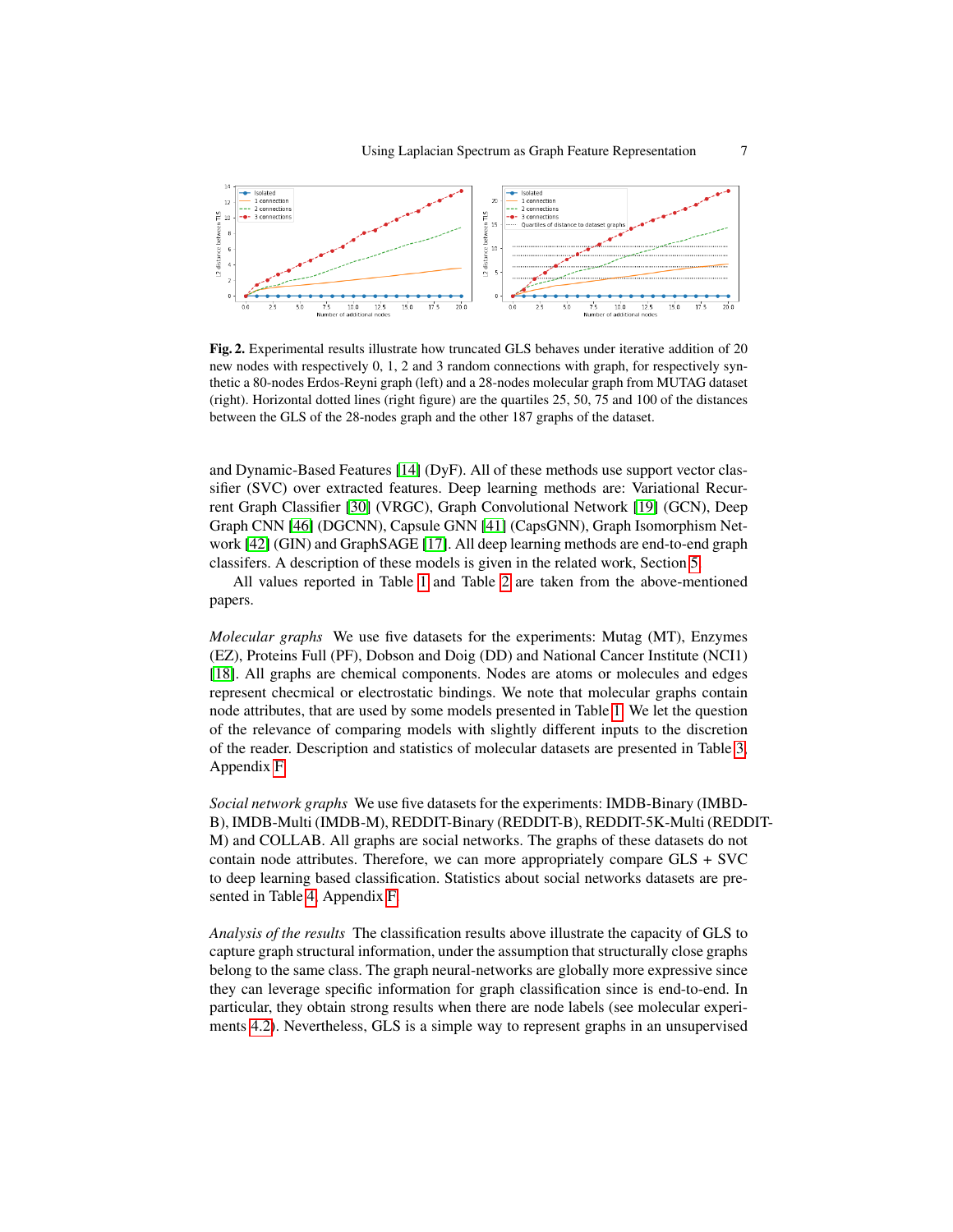

Fig. 2. Experimental results illustrate how truncated GLS behaves under iterative addition of 20 new nodes with respectively 0, 1, 2 and 3 random connections with graph, for respectively synthetic a 80-nodes Erdos-Reyni graph (left) and a 28-nodes molecular graph from MUTAG dataset (right). Horizontal dotted lines (right figure) are the quartiles 25, 50, 75 and 100 of the distances between the GLS of the 28-nodes graph and the other 187 graphs of the dataset.

and Dynamic-Based Features [\[14\]](#page-10-9) (DyF). All of these methods use support vector classifier (SVC) over extracted features. Deep learning methods are: Variational Recurrent Graph Classifier [\[30\]](#page-11-8) (VRGC), Graph Convolutional Network [\[19\]](#page-10-10) (GCN), Deep Graph CNN [\[46\]](#page-11-9) (DGCNN), Capsule GNN [\[41\]](#page-11-10) (CapsGNN), Graph Isomorphism Network [\[42\]](#page-11-11) (GIN) and GraphSAGE [\[17\]](#page-10-11). All deep learning methods are end-to-end graph classifers. A description of these models is given in the related work, Section [5.](#page-8-0)

All values reported in Table [1](#page-7-0) and Table [2](#page-7-1) are taken from the above-mentioned papers.

<span id="page-6-0"></span>*Molecular graphs* We use five datasets for the experiments: Mutag (MT), Enzymes (EZ), Proteins Full (PF), Dobson and Doig (DD) and National Cancer Institute (NCI1) [\[18\]](#page-10-12). All graphs are chemical components. Nodes are atoms or molecules and edges represent checmical or electrostatic bindings. We note that molecular graphs contain node attributes, that are used by some models presented in Table [1.](#page-7-0) We let the question of the relevance of comparing models with slightly different inputs to the discretion of the reader. Description and statistics of molecular datasets are presented in Table [3,](#page-15-0) Appendix [F.](#page-15-1)

*Social network graphs* We use five datasets for the experiments: IMDB-Binary (IMBD-B), IMDB-Multi (IMDB-M), REDDIT-Binary (REDDIT-B), REDDIT-5K-Multi (REDDIT-M) and COLLAB. All graphs are social networks. The graphs of these datasets do not contain node attributes. Therefore, we can more appropriately compare GLS + SVC to deep learning based classification. Statistics about social networks datasets are presented in Table [4,](#page-16-0) Appendix [F.](#page-15-1)

*Analysis of the results* The classification results above illustrate the capacity of GLS to capture graph structural information, under the assumption that structurally close graphs belong to the same class. The graph neural-networks are globally more expressive since they can leverage specific information for graph classification since is end-to-end. In particular, they obtain strong results when there are node labels (see molecular experiments [4.2\)](#page-6-0). Nevertheless, GLS is a simple way to represent graphs in an unsupervised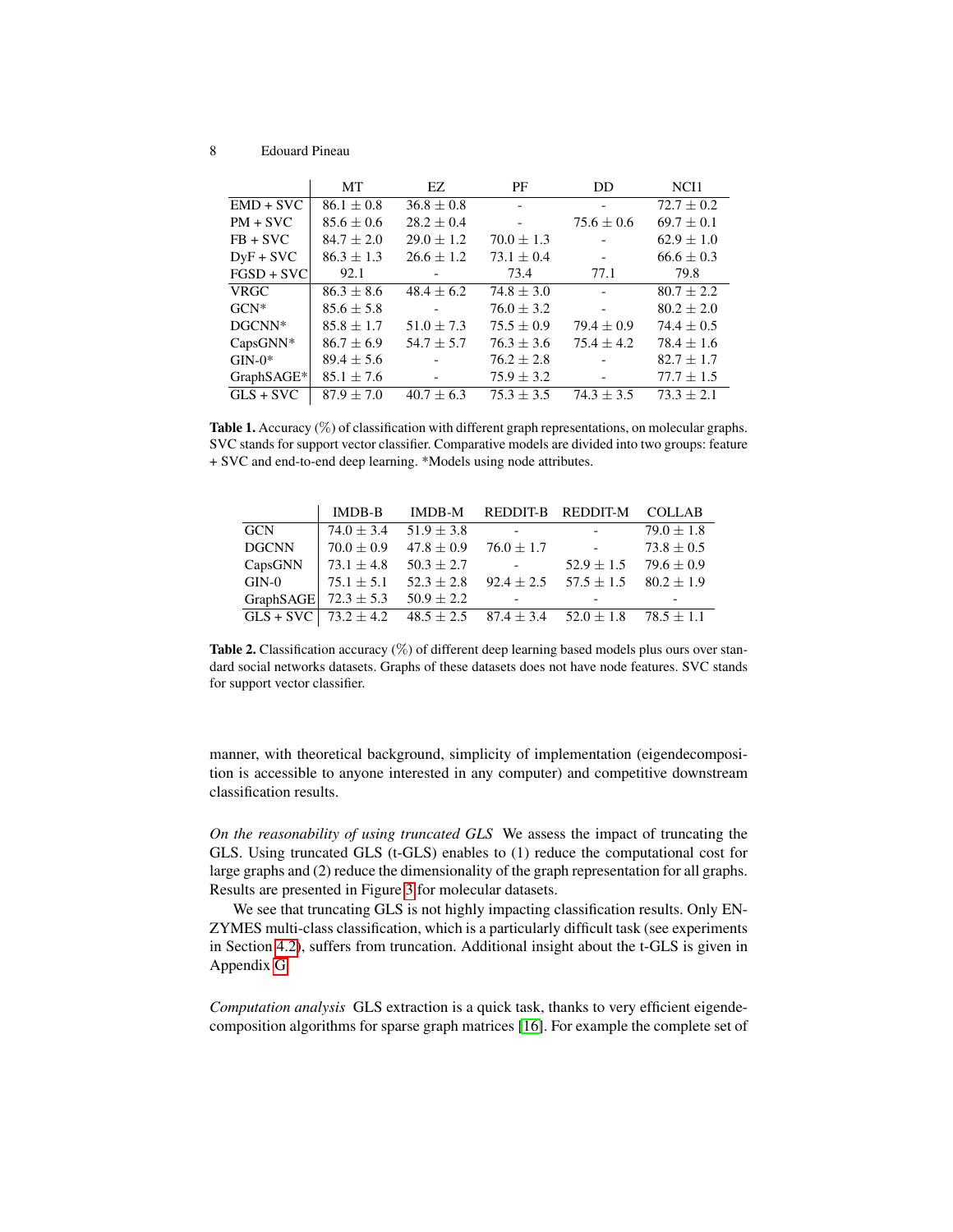|              | MT             | EZ.            | PF             | DD                       | NCI1           |
|--------------|----------------|----------------|----------------|--------------------------|----------------|
| $EMD + SVC$  | $86.1 + 0.8$   | $36.8 \pm 0.8$ |                |                          | $72.7 + 0.2$   |
| $PM + SVC$   | $85.6 \pm 0.6$ | $28.2 \pm 0.4$ |                | $75.6 \pm 0.6$           | $69.7 \pm 0.1$ |
| $FB + SVC$   | $84.7 \pm 2.0$ | $29.0 \pm 1.2$ | $70.0 \pm 1.3$ |                          | $62.9 \pm 1.0$ |
| $DyF + SVC$  | $86.3 + 1.3$   | $26.6 \pm 1.2$ | $73.1 \pm 0.4$ | $\overline{\phantom{a}}$ | $66.6 \pm 0.3$ |
| $FGSD + SVC$ | 92.1           |                | 73.4           | 77.1                     | 79.8           |
| <b>VRGC</b>  | $86.3 + 8.6$   | $48.4 + 6.2$   | $74.8 + 3.0$   |                          | $80.7 + 2.2$   |
| $GCN^*$      | $85.6 \pm 5.8$ |                | $76.0 \pm 3.2$ |                          | $80.2 \pm 2.0$ |
| $DGCNN*$     | $85.8 \pm 1.7$ | $51.0 \pm 7.3$ | $75.5 \pm 0.9$ | $79.4 + 0.9$             | $74.4 \pm 0.5$ |
| $CapsGNN^*$  | $86.7 \pm 6.9$ | $54.7 + 5.7$   | $76.3 + 3.6$   | $75.4 + 4.2$             | $78.4 + 1.6$   |
| $GIN-0*$     | $89.4 \pm 5.6$ |                | $76.2 \pm 2.8$ |                          | $82.7 \pm 1.7$ |
| GraphSAGE*   | $85.1 \pm 7.6$ |                | $75.9 \pm 3.2$ |                          | $77.7 \pm 1.5$ |
| $GLS + SVC$  | $87.9 + 7.0$   | $40.7 \pm 6.3$ | $75.3 + 3.5$   | $74.3 + 3.5$             | $73.3 + 2.1$   |

<span id="page-7-0"></span>**Table 1.** Accuracy  $(\%)$  of classification with different graph representations, on molecular graphs. SVC stands for support vector classifier. Comparative models are divided into two groups: feature + SVC and end-to-end deep learning. \*Models using node attributes.

|                                         | <b>IMDB-B</b>                 |                                              |                                                                                                                                                                                                                                                                                                                                                                                                                                                           | IMDB-M REDDIT-B REDDIT-M COLLAB                                                        |                |
|-----------------------------------------|-------------------------------|----------------------------------------------|-----------------------------------------------------------------------------------------------------------------------------------------------------------------------------------------------------------------------------------------------------------------------------------------------------------------------------------------------------------------------------------------------------------------------------------------------------------|----------------------------------------------------------------------------------------|----------------|
| GCN                                     | $74.0 \pm 3.4$ 51.9 $\pm$ 3.8 |                                              | <b>Contact Contact</b>                                                                                                                                                                                                                                                                                                                                                                                                                                    | <b>Contractor</b>                                                                      | $79.0 \pm 1.8$ |
| <b>DGCNN</b>                            |                               | $70.0 \pm 0.9$ $47.8 \pm 0.9$ $76.0 \pm 1.7$ |                                                                                                                                                                                                                                                                                                                                                                                                                                                           | <b>Contractor</b>                                                                      | $73.8 \pm 0.5$ |
| CapsGNN                                 | $73.1 \pm 4.8$ $50.3 \pm 2.7$ |                                              | $\mathcal{L}^{\mathcal{L}}(\mathcal{L}^{\mathcal{L}}(\mathcal{L}^{\mathcal{L}}(\mathcal{L}^{\mathcal{L}}(\mathcal{L}^{\mathcal{L}}(\mathcal{L}^{\mathcal{L}}(\mathcal{L}^{\mathcal{L}}(\mathcal{L}^{\mathcal{L}}(\mathcal{L}^{\mathcal{L}}(\mathcal{L}^{\mathcal{L}}(\mathcal{L}^{\mathcal{L}}(\mathcal{L}^{\mathcal{L}}(\mathcal{L}^{\mathcal{L}}(\mathcal{L}^{\mathcal{L}}(\mathcal{L}^{\mathcal{L}}(\mathcal{L}^{\mathcal{L}}(\mathcal{L}^{\mathcal{L$ | $52.9 \pm 1.5$ 79.6 $\pm$ 0.9                                                          |                |
| $\mathrm{GIN}\text{-}0$                 |                               | $75.1 \pm 5.1$ $52.3 \pm 2.8$                |                                                                                                                                                                                                                                                                                                                                                                                                                                                           | $92.4 \pm 2.5$ $57.5 \pm 1.5$ $80.2 \pm 1.9$                                           |                |
| GraphSAGE $72.3 \pm 5.3$ 50.9 $\pm 2.2$ |                               |                                              | $\sim 100$ km s $^{-1}$                                                                                                                                                                                                                                                                                                                                                                                                                                   |                                                                                        |                |
|                                         |                               |                                              |                                                                                                                                                                                                                                                                                                                                                                                                                                                           | GLS + SVC   $73.2 \pm 4.2$ 48.5 $\pm 2.5$ 87.4 $\pm 3.4$ 52.0 $\pm 1.8$ 78.5 $\pm 1.1$ |                |

<span id="page-7-1"></span>Table 2. Classification accuracy (%) of different deep learning based models plus ours over standard social networks datasets. Graphs of these datasets does not have node features. SVC stands for support vector classifier.

manner, with theoretical background, simplicity of implementation (eigendecomposition is accessible to anyone interested in any computer) and competitive downstream classification results.

*On the reasonability of using truncated GLS* We assess the impact of truncating the GLS. Using truncated GLS (t-GLS) enables to (1) reduce the computational cost for large graphs and (2) reduce the dimensionality of the graph representation for all graphs. Results are presented in Figure [3](#page-8-1) for molecular datasets.

We see that truncating GLS is not highly impacting classification results. Only EN-ZYMES multi-class classification, which is a particularly difficult task (see experiments in Section [4.2\)](#page-6-0), suffers from truncation. Additional insight about the t-GLS is given in Appendix [G.](#page-16-1)

*Computation analysis* GLS extraction is a quick task, thanks to very efficient eigendecomposition algorithms for sparse graph matrices [\[16\]](#page-10-3). For example the complete set of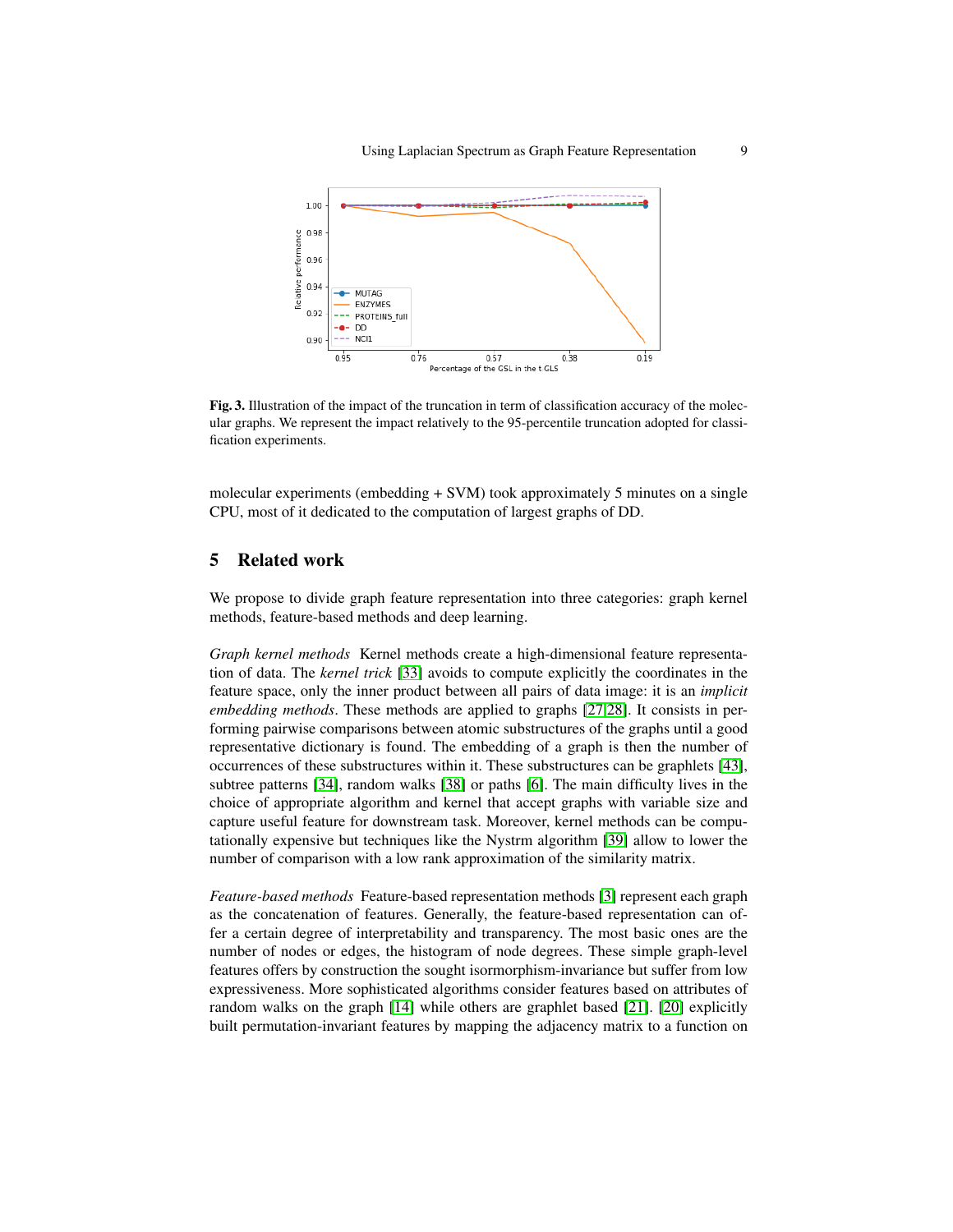

<span id="page-8-1"></span>Fig. 3. Illustration of the impact of the truncation in term of classification accuracy of the molecular graphs. We represent the impact relatively to the 95-percentile truncation adopted for classification experiments.

molecular experiments (embedding + SVM) took approximately 5 minutes on a single CPU, most of it dedicated to the computation of largest graphs of DD.

## <span id="page-8-0"></span>5 Related work

We propose to divide graph feature representation into three categories: graph kernel methods, feature-based methods and deep learning.

*Graph kernel methods* Kernel methods create a high-dimensional feature representation of data. The *kernel trick* [\[33\]](#page-11-12) avoids to compute explicitly the coordinates in the feature space, only the inner product between all pairs of data image: it is an *implicit embedding methods*. These methods are applied to graphs [\[27,](#page-11-13)[28\]](#page-11-7). It consists in performing pairwise comparisons between atomic substructures of the graphs until a good representative dictionary is found. The embedding of a graph is then the number of occurrences of these substructures within it. These substructures can be graphlets [\[43\]](#page-11-14), subtree patterns [\[34\]](#page-11-15), random walks [\[38\]](#page-11-16) or paths [\[6\]](#page-10-13). The main difficulty lives in the choice of appropriate algorithm and kernel that accept graphs with variable size and capture useful feature for downstream task. Moreover, kernel methods can be computationally expensive but techniques like the Nystrm algorithm [\[39\]](#page-11-17) allow to lower the number of comparison with a low rank approximation of the similarity matrix.

*Feature-based methods* Feature-based representation methods [\[3\]](#page-10-8) represent each graph as the concatenation of features. Generally, the feature-based representation can offer a certain degree of interpretability and transparency. The most basic ones are the number of nodes or edges, the histogram of node degrees. These simple graph-level features offers by construction the sought isormorphism-invariance but suffer from low expressiveness. More sophisticated algorithms consider features based on attributes of random walks on the graph [\[14\]](#page-10-9) while others are graphlet based [\[21\]](#page-10-14). [\[20\]](#page-10-15) explicitly built permutation-invariant features by mapping the adjacency matrix to a function on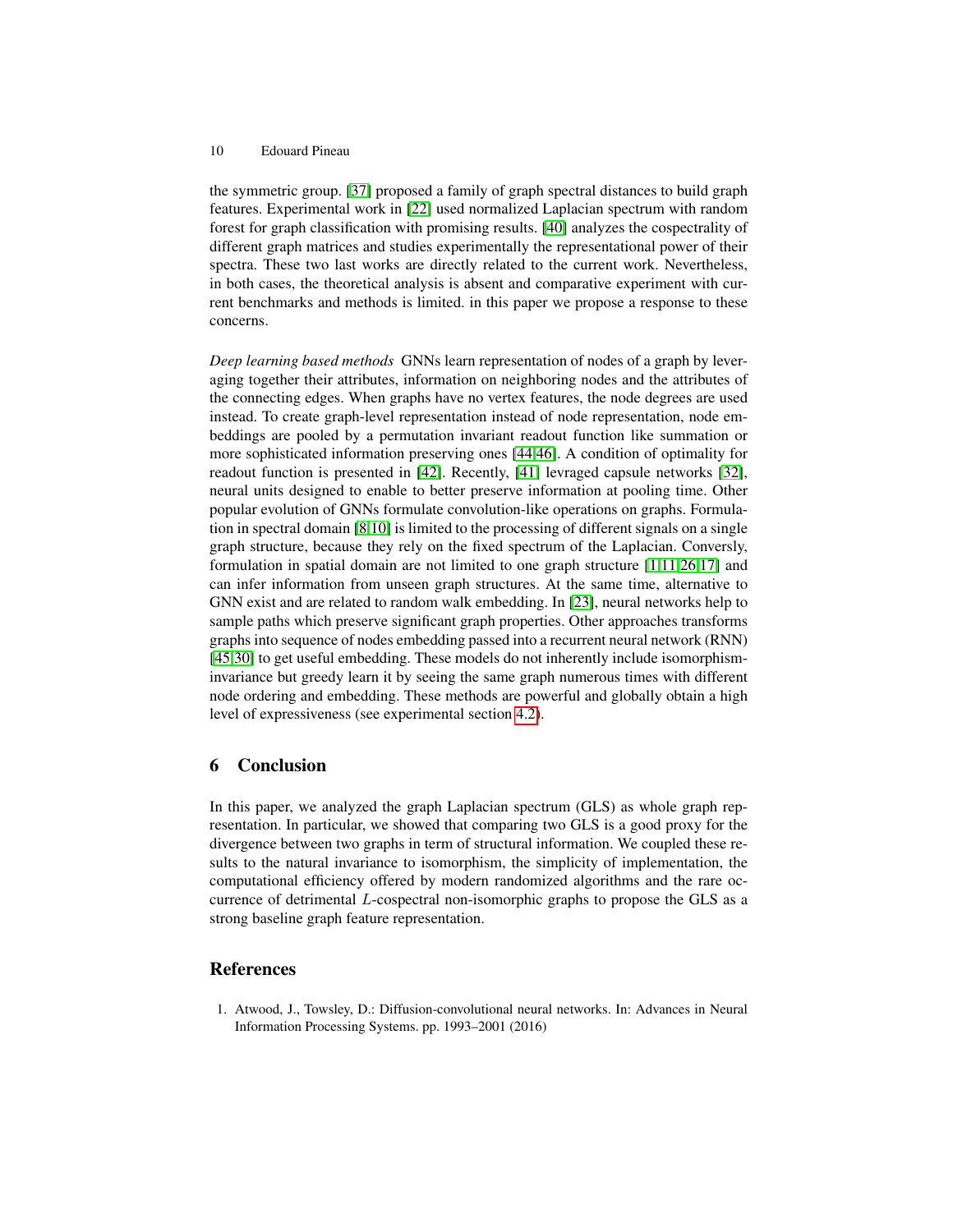the symmetric group. [\[37\]](#page-11-5) proposed a family of graph spectral distances to build graph features. Experimental work in [\[22\]](#page-10-16) used normalized Laplacian spectrum with random forest for graph classification with promising results. [\[40\]](#page-11-6) analyzes the cospectrality of different graph matrices and studies experimentally the representational power of their spectra. These two last works are directly related to the current work. Nevertheless, in both cases, the theoretical analysis is absent and comparative experiment with current benchmarks and methods is limited. in this paper we propose a response to these concerns.

*Deep learning based methods* GNNs learn representation of nodes of a graph by leveraging together their attributes, information on neighboring nodes and the attributes of the connecting edges. When graphs have no vertex features, the node degrees are used instead. To create graph-level representation instead of node representation, node embeddings are pooled by a permutation invariant readout function like summation or more sophisticated information preserving ones [\[44](#page-11-18)[,46\]](#page-11-9). A condition of optimality for readout function is presented in [\[42\]](#page-11-11). Recently, [\[41\]](#page-11-10) levraged capsule networks [\[32\]](#page-11-19), neural units designed to enable to better preserve information at pooling time. Other popular evolution of GNNs formulate convolution-like operations on graphs. Formulation in spectral domain [\[8,](#page-10-17)[10\]](#page-10-18) is limited to the processing of different signals on a single graph structure, because they rely on the fixed spectrum of the Laplacian. Conversly, formulation in spatial domain are not limited to one graph structure [\[1](#page-9-0)[,11,](#page-10-19)[26,](#page-11-20)[17\]](#page-10-11) and can infer information from unseen graph structures. At the same time, alternative to GNN exist and are related to random walk embedding. In [\[23\]](#page-10-20), neural networks help to sample paths which preserve significant graph properties. Other approaches transforms graphs into sequence of nodes embedding passed into a recurrent neural network (RNN) [\[45,](#page-11-21)[30\]](#page-11-8) to get useful embedding. These models do not inherently include isomorphisminvariance but greedy learn it by seeing the same graph numerous times with different node ordering and embedding. These methods are powerful and globally obtain a high level of expressiveness (see experimental section [4.2\)](#page-6-0).

## 6 Conclusion

In this paper, we analyzed the graph Laplacian spectrum (GLS) as whole graph representation. In particular, we showed that comparing two GLS is a good proxy for the divergence between two graphs in term of structural information. We coupled these results to the natural invariance to isomorphism, the simplicity of implementation, the computational efficiency offered by modern randomized algorithms and the rare occurrence of detrimental L-cospectral non-isomorphic graphs to propose the GLS as a strong baseline graph feature representation.

## References

<span id="page-9-0"></span>1. Atwood, J., Towsley, D.: Diffusion-convolutional neural networks. In: Advances in Neural Information Processing Systems. pp. 1993–2001 (2016)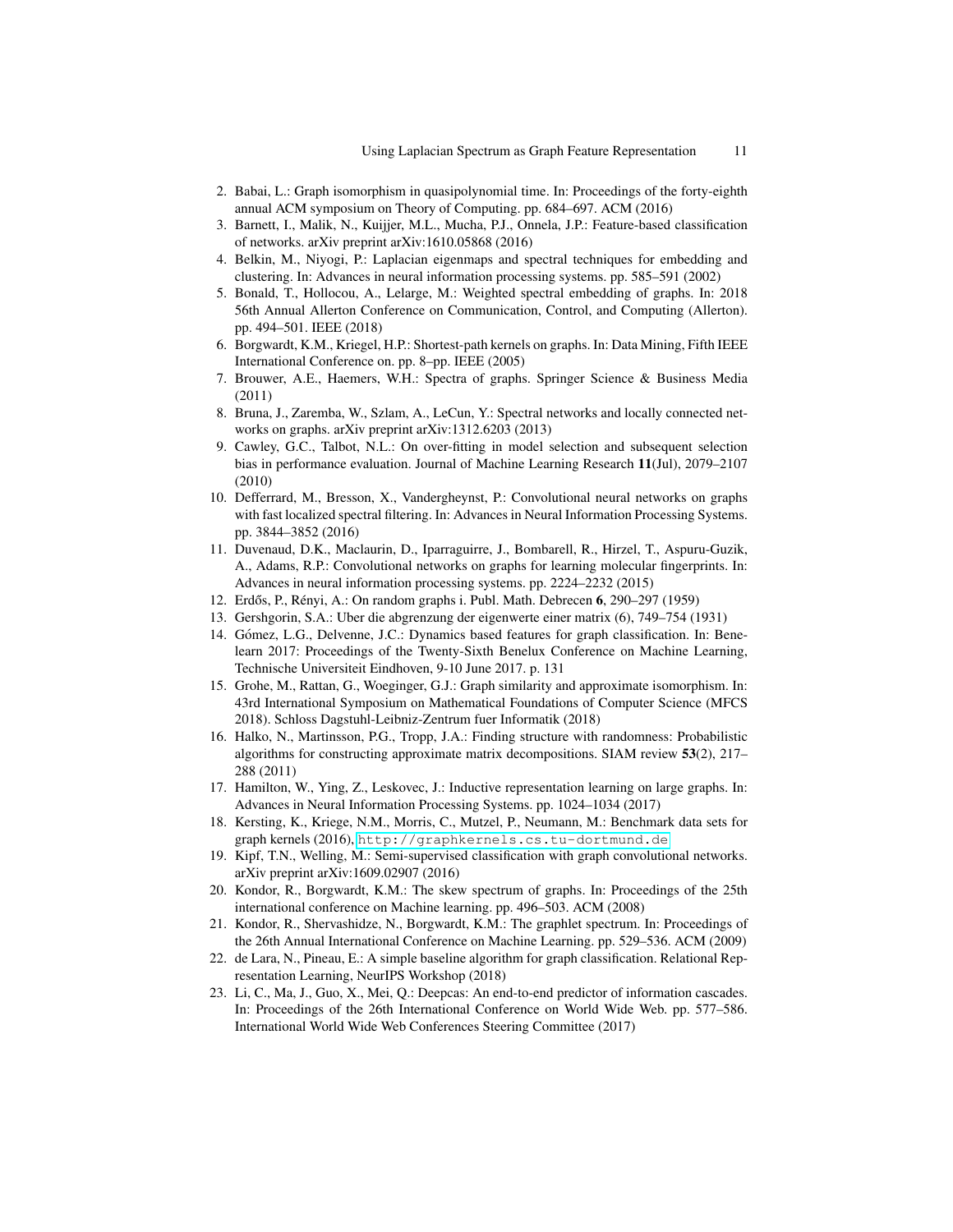- <span id="page-10-5"></span>2. Babai, L.: Graph isomorphism in quasipolynomial time. In: Proceedings of the forty-eighth annual ACM symposium on Theory of Computing. pp. 684–697. ACM (2016)
- <span id="page-10-8"></span>3. Barnett, I., Malik, N., Kuijjer, M.L., Mucha, P.J., Onnela, J.P.: Feature-based classification of networks. arXiv preprint arXiv:1610.05868 (2016)
- <span id="page-10-0"></span>4. Belkin, M., Niyogi, P.: Laplacian eigenmaps and spectral techniques for embedding and clustering. In: Advances in neural information processing systems. pp. 585–591 (2002)
- <span id="page-10-2"></span>5. Bonald, T., Hollocou, A., Lelarge, M.: Weighted spectral embedding of graphs. In: 2018 56th Annual Allerton Conference on Communication, Control, and Computing (Allerton). pp. 494–501. IEEE (2018)
- <span id="page-10-13"></span>6. Borgwardt, K.M., Kriegel, H.P.: Shortest-path kernels on graphs. In: Data Mining, Fifth IEEE International Conference on. pp. 8–pp. IEEE (2005)
- <span id="page-10-1"></span>7. Brouwer, A.E., Haemers, W.H.: Spectra of graphs. Springer Science & Business Media (2011)
- <span id="page-10-17"></span>8. Bruna, J., Zaremba, W., Szlam, A., LeCun, Y.: Spectral networks and locally connected networks on graphs. arXiv preprint arXiv:1312.6203 (2013)
- <span id="page-10-21"></span>9. Cawley, G.C., Talbot, N.L.: On over-fitting in model selection and subsequent selection bias in performance evaluation. Journal of Machine Learning Research 11(Jul), 2079–2107 (2010)
- <span id="page-10-18"></span>10. Defferrard, M., Bresson, X., Vandergheynst, P.: Convolutional neural networks on graphs with fast localized spectral filtering. In: Advances in Neural Information Processing Systems. pp. 3844–3852 (2016)
- <span id="page-10-19"></span>11. Duvenaud, D.K., Maclaurin, D., Iparraguirre, J., Bombarell, R., Hirzel, T., Aspuru-Guzik, A., Adams, R.P.: Convolutional networks on graphs for learning molecular fingerprints. In: Advances in neural information processing systems. pp. 2224–2232 (2015)
- <span id="page-10-6"></span>12. Erdős, P., Rényi, A.: On random graphs i. Publ. Math. Debrecen 6, 290-297 (1959)
- <span id="page-10-7"></span>13. Gershgorin, S.A.: Uber die abgrenzung der eigenwerte einer matrix (6), 749–754 (1931)
- <span id="page-10-9"></span>14. Gómez, L.G., Delvenne, J.C.: Dynamics based features for graph classification. In: Benelearn 2017: Proceedings of the Twenty-Sixth Benelux Conference on Machine Learning, Technische Universiteit Eindhoven, 9-10 June 2017. p. 131
- <span id="page-10-4"></span>15. Grohe, M., Rattan, G., Woeginger, G.J.: Graph similarity and approximate isomorphism. In: 43rd International Symposium on Mathematical Foundations of Computer Science (MFCS 2018). Schloss Dagstuhl-Leibniz-Zentrum fuer Informatik (2018)
- <span id="page-10-3"></span>16. Halko, N., Martinsson, P.G., Tropp, J.A.: Finding structure with randomness: Probabilistic algorithms for constructing approximate matrix decompositions. SIAM review 53(2), 217– 288 (2011)
- <span id="page-10-11"></span>17. Hamilton, W., Ying, Z., Leskovec, J.: Inductive representation learning on large graphs. In: Advances in Neural Information Processing Systems. pp. 1024–1034 (2017)
- <span id="page-10-12"></span>18. Kersting, K., Kriege, N.M., Morris, C., Mutzel, P., Neumann, M.: Benchmark data sets for graph kernels (2016), <http://graphkernels.cs.tu-dortmund.de>
- <span id="page-10-10"></span>19. Kipf, T.N., Welling, M.: Semi-supervised classification with graph convolutional networks. arXiv preprint arXiv:1609.02907 (2016)
- <span id="page-10-15"></span>20. Kondor, R., Borgwardt, K.M.: The skew spectrum of graphs. In: Proceedings of the 25th international conference on Machine learning. pp. 496–503. ACM (2008)
- <span id="page-10-14"></span>21. Kondor, R., Shervashidze, N., Borgwardt, K.M.: The graphlet spectrum. In: Proceedings of the 26th Annual International Conference on Machine Learning. pp. 529–536. ACM (2009)
- <span id="page-10-16"></span>22. de Lara, N., Pineau, E.: A simple baseline algorithm for graph classification. Relational Representation Learning, NeurIPS Workshop (2018)
- <span id="page-10-20"></span>23. Li, C., Ma, J., Guo, X., Mei, Q.: Deepcas: An end-to-end predictor of information cascades. In: Proceedings of the 26th International Conference on World Wide Web. pp. 577–586. International World Wide Web Conferences Steering Committee (2017)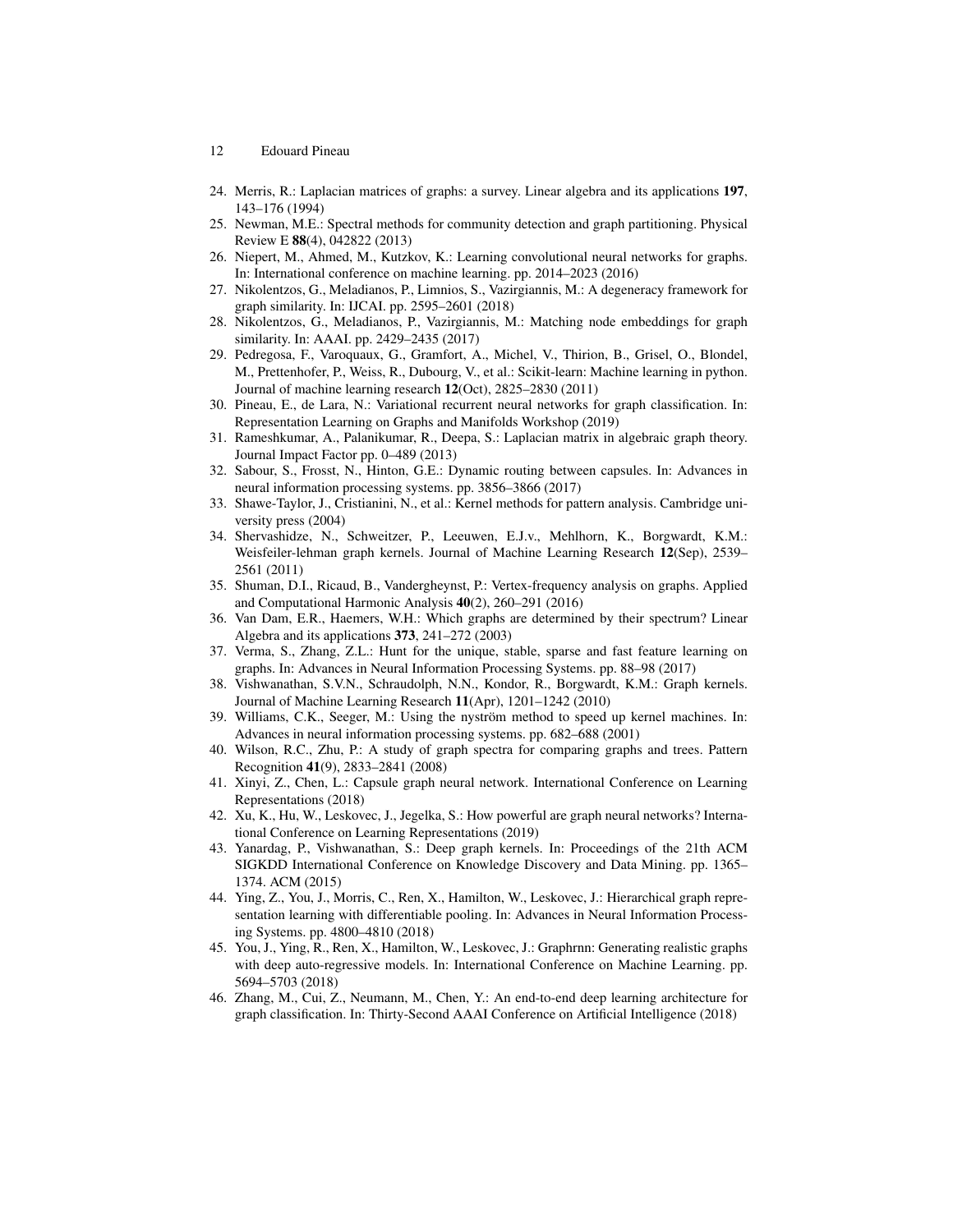- 12 Edouard Pineau
- <span id="page-11-2"></span>24. Merris, R.: Laplacian matrices of graphs: a survey. Linear algebra and its applications 197, 143–176 (1994)
- <span id="page-11-0"></span>25. Newman, M.E.: Spectral methods for community detection and graph partitioning. Physical Review E 88(4), 042822 (2013)
- <span id="page-11-20"></span>26. Niepert, M., Ahmed, M., Kutzkov, K.: Learning convolutional neural networks for graphs. In: International conference on machine learning. pp. 2014–2023 (2016)
- <span id="page-11-13"></span>27. Nikolentzos, G., Meladianos, P., Limnios, S., Vazirgiannis, M.: A degeneracy framework for graph similarity. In: IJCAI. pp. 2595–2601 (2018)
- <span id="page-11-7"></span>28. Nikolentzos, G., Meladianos, P., Vazirgiannis, M.: Matching node embeddings for graph similarity. In: AAAI. pp. 2429–2435 (2017)
- <span id="page-11-22"></span>29. Pedregosa, F., Varoquaux, G., Gramfort, A., Michel, V., Thirion, B., Grisel, O., Blondel, M., Prettenhofer, P., Weiss, R., Dubourg, V., et al.: Scikit-learn: Machine learning in python. Journal of machine learning research 12(Oct), 2825–2830 (2011)
- <span id="page-11-8"></span>30. Pineau, E., de Lara, N.: Variational recurrent neural networks for graph classification. In: Representation Learning on Graphs and Manifolds Workshop (2019)
- <span id="page-11-3"></span>31. Rameshkumar, A., Palanikumar, R., Deepa, S.: Laplacian matrix in algebraic graph theory. Journal Impact Factor pp. 0–489 (2013)
- <span id="page-11-19"></span>32. Sabour, S., Frosst, N., Hinton, G.E.: Dynamic routing between capsules. In: Advances in neural information processing systems. pp. 3856–3866 (2017)
- <span id="page-11-12"></span>33. Shawe-Taylor, J., Cristianini, N., et al.: Kernel methods for pattern analysis. Cambridge university press (2004)
- <span id="page-11-15"></span>34. Shervashidze, N., Schweitzer, P., Leeuwen, E.J.v., Mehlhorn, K., Borgwardt, K.M.: Weisfeiler-lehman graph kernels. Journal of Machine Learning Research 12(Sep), 2539– 2561 (2011)
- <span id="page-11-1"></span>35. Shuman, D.I., Ricaud, B., Vandergheynst, P.: Vertex-frequency analysis on graphs. Applied and Computational Harmonic Analysis 40(2), 260–291 (2016)
- <span id="page-11-4"></span>36. Van Dam, E.R., Haemers, W.H.: Which graphs are determined by their spectrum? Linear Algebra and its applications 373, 241–272 (2003)
- <span id="page-11-5"></span>37. Verma, S., Zhang, Z.L.: Hunt for the unique, stable, sparse and fast feature learning on graphs. In: Advances in Neural Information Processing Systems. pp. 88–98 (2017)
- <span id="page-11-16"></span>38. Vishwanathan, S.V.N., Schraudolph, N.N., Kondor, R., Borgwardt, K.M.: Graph kernels. Journal of Machine Learning Research 11(Apr), 1201–1242 (2010)
- <span id="page-11-17"></span>39. Williams, C.K., Seeger, M.: Using the nyström method to speed up kernel machines. In: Advances in neural information processing systems. pp. 682–688 (2001)
- <span id="page-11-6"></span>40. Wilson, R.C., Zhu, P.: A study of graph spectra for comparing graphs and trees. Pattern Recognition 41(9), 2833–2841 (2008)
- <span id="page-11-10"></span>41. Xinyi, Z., Chen, L.: Capsule graph neural network. International Conference on Learning Representations (2018)
- <span id="page-11-11"></span>42. Xu, K., Hu, W., Leskovec, J., Jegelka, S.: How powerful are graph neural networks? International Conference on Learning Representations (2019)
- <span id="page-11-14"></span>43. Yanardag, P., Vishwanathan, S.: Deep graph kernels. In: Proceedings of the 21th ACM SIGKDD International Conference on Knowledge Discovery and Data Mining. pp. 1365– 1374. ACM (2015)
- <span id="page-11-18"></span>44. Ying, Z., You, J., Morris, C., Ren, X., Hamilton, W., Leskovec, J.: Hierarchical graph representation learning with differentiable pooling. In: Advances in Neural Information Processing Systems. pp. 4800–4810 (2018)
- <span id="page-11-21"></span>45. You, J., Ying, R., Ren, X., Hamilton, W., Leskovec, J.: Graphrnn: Generating realistic graphs with deep auto-regressive models. In: International Conference on Machine Learning. pp. 5694–5703 (2018)
- <span id="page-11-9"></span>46. Zhang, M., Cui, Z., Neumann, M., Chen, Y.: An end-to-end deep learning architecture for graph classification. In: Thirty-Second AAAI Conference on Artificial Intelligence (2018)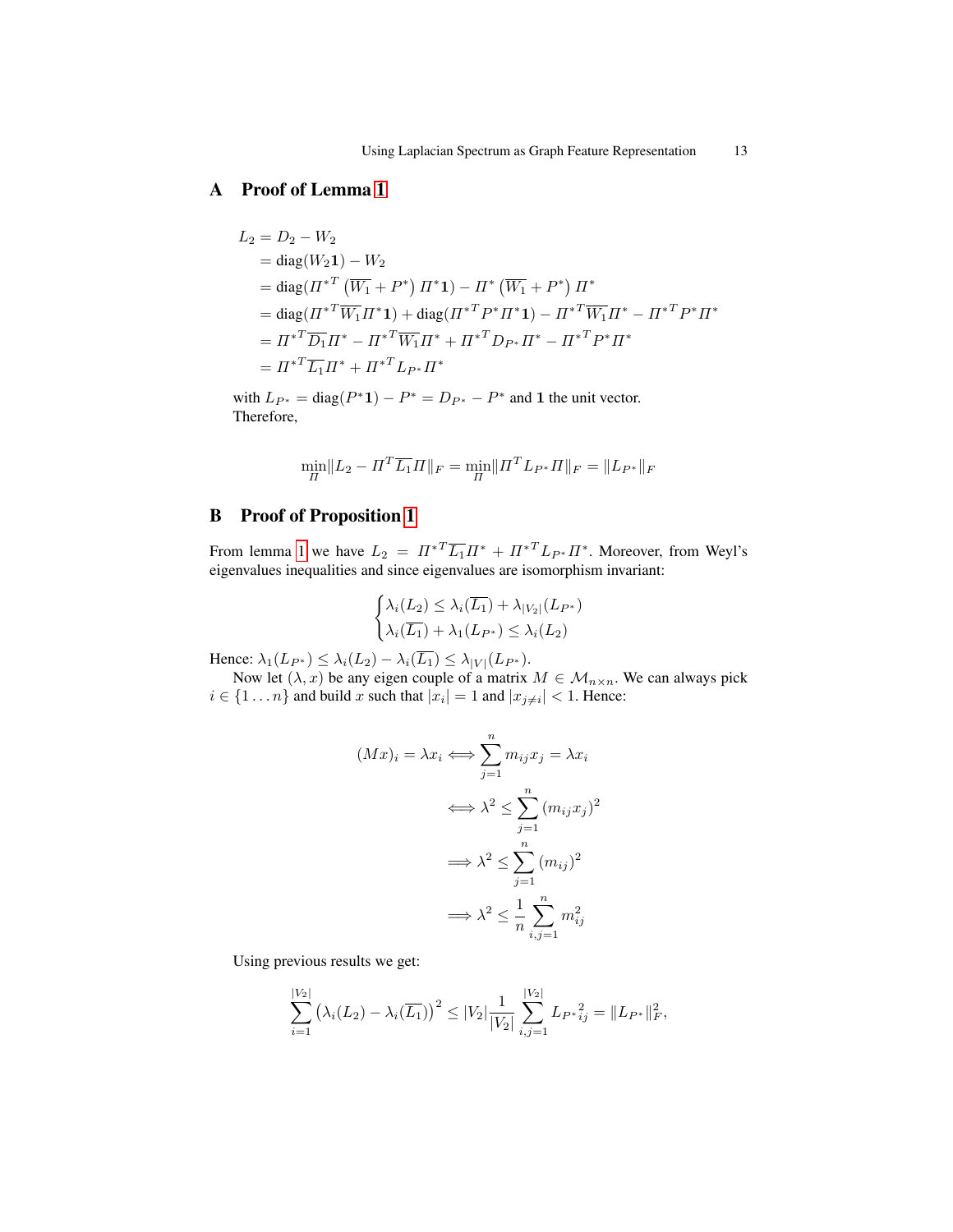## A Proof of Lemma [1](#page-3-0)

$$
L_2 = D_2 - W_2
$$
  
= diag(W<sub>2</sub>1) – W<sub>2</sub>  
= diag(\Pi^\*^T (\overline{W\_1} + P^\*) \Pi^\* 1) – \Pi^\* (\overline{W\_1} + P^\*) \Pi^\*  
= diag( $\Pi^*^T \overline{W_1} \Pi^* 1$ ) + diag( $\Pi^*^T P^* \Pi^* 1$ ) –  $\Pi^*^T \overline{W_1} \Pi^* - \Pi^*^T P^* \Pi^*$   
=  $\Pi^*^T \overline{D_1} \Pi^* - \Pi^*^T \overline{W_1} \Pi^* + \Pi^*^T D_{P^*} \Pi^* - \Pi^*^T P^* \Pi^*$   
=  $\Pi^*^T \overline{L_1} \Pi^* + \Pi^*^T L_{P^*} \Pi^*$ 

with  $L_{P^*} = \text{diag}(P^*1) - P^* = D_{P^*} - P^*$  and 1 the unit vector. Therefore,

$$
\min_{\Pi} \lVert L_2 - \Pi^T \overline{L_1} \Pi \rVert_F = \min_{\Pi} \lVert \Pi^T L_{P^*} \Pi \rVert_F = \lVert L_{P^*} \rVert_F
$$

## B Proof of Proposition [1](#page-3-1)

From lemma [1](#page-3-0) we have  $L_2 = \Pi^{*T} \overline{L_1} \Pi^* + {\Pi^{*}}^T L_{P^*} \Pi^*$ . Moreover, from Weyl's eigenvalues inequalities and since eigenvalues are isomorphism invariant:

$$
\begin{cases} \lambda_i(L_2) \leq \lambda_i(\overline{L_1}) + \lambda_{|V_2|}(L_{P^*}) \\ \lambda_i(\overline{L_1}) + \lambda_1(L_{P^*}) \leq \lambda_i(L_2) \end{cases}
$$

Hence:  $\lambda_1(L_{P^*}) \leq \lambda_i(L_2) - \lambda_i(\overline{L_1}) \leq \lambda_{|V|}(L_{P^*}).$ 

Now let  $(\lambda, x)$  be any eigen couple of a matrix  $M \in M_{n \times n}$ . We can always pick  $i \in \{1 \dots n\}$  and build x such that  $|x_i| = 1$  and  $|x_{j \neq i}| < 1$ . Hence:

$$
(Mx)_i = \lambda x_i \Longleftrightarrow \sum_{j=1}^n m_{ij} x_j = \lambda x_i
$$

$$
\Longleftrightarrow \lambda^2 \le \sum_{j=1}^n (m_{ij} x_j)^2
$$

$$
\Longrightarrow \lambda^2 \le \sum_{j=1}^n (m_{ij})^2
$$

$$
\Longrightarrow \lambda^2 \le \frac{1}{n} \sum_{i,j=1}^n m_{ij}^2
$$

Using previous results we get:

$$
\sum_{i=1}^{|V_2|} \left(\lambda_i(L_2) - \lambda_i(\overline{L_1})\right)^2 \leq |V_2| \frac{1}{|V_2|} \sum_{i,j=1}^{|V_2|} L_{P^*i,j} = ||L_{P^*}||_F^2,
$$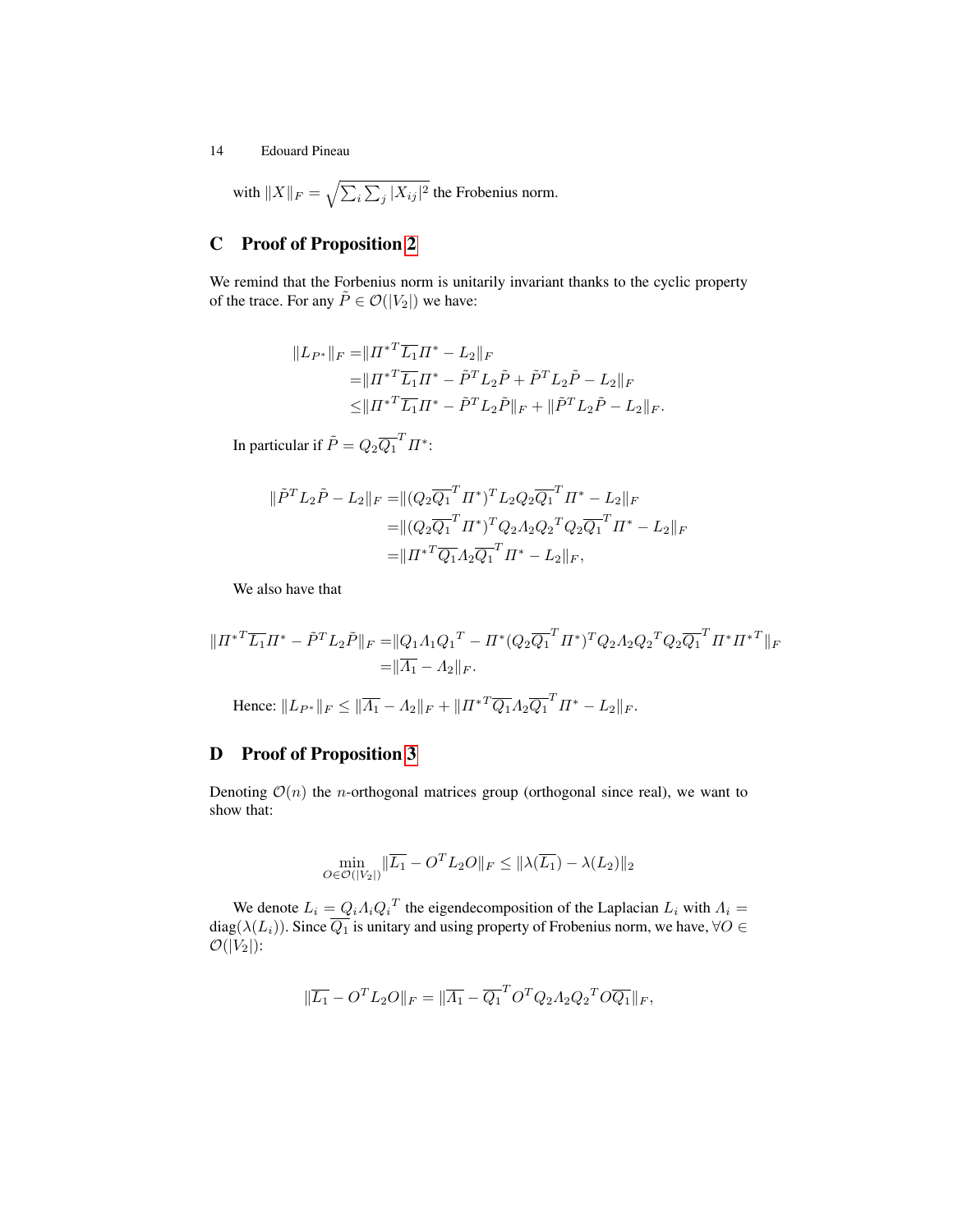with  $||X||_F = \sqrt{\sum_i \sum_j |X_{ij}|^2}$  the Frobenius norm.

## C Proof of Proposition [2](#page-3-2)

We remind that the Forbenius norm is unitarily invariant thanks to the cyclic property of the trace. For any  $\tilde{P} \in \mathcal{O}(|V_2|)$  we have:

$$
||L_{P^*}||_F = ||{H^*}^T \overline{L_1} H^* - L_2||_F
$$
  
=  $||{H^*}^T \overline{L_1} H^* - \tilde{P}^T L_2 \tilde{P} + \tilde{P}^T L_2 \tilde{P} - L_2||_F$   
 $\leq ||{H^*}^T \overline{L_1} H^* - \tilde{P}^T L_2 \tilde{P}||_F + ||\tilde{P}^T L_2 \tilde{P} - L_2||_F.$ 

In particular if  $\tilde{P} = Q_2 \overline{Q_1}^T \Pi^*$ :

$$
\|\tilde{P}^T L_2 \tilde{P} - L_2\|_F = \| (Q_2 \overline{Q_1}^T \Pi^*)^T L_2 Q_2 \overline{Q_1}^T \Pi^* - L_2 \|_F
$$
  
=  $||(Q_2 \overline{Q_1}^T \Pi^*)^T Q_2 A_2 Q_2^T Q_2 \overline{Q_1}^T \Pi^* - L_2 \|_F$   
=  $||\Pi^{*T} \overline{Q_1} A_2 \overline{Q_1}^T \Pi^* - L_2 \|_F$ ,

We also have that

$$
||{I\!I^*}^T \overline{L_1} I\!I^* - \tilde{P}^T L_2 \tilde{P}||_F = ||Q_1 \Lambda_1 Q_1^T - \Pi^* (Q_2 \overline{Q_1}^T I\!I^*)^T Q_2 \Lambda_2 Q_2^T Q_2 \overline{Q_1}^T I\!I^* I\!I^*^T||_F
$$
  
=  $||\overline{\Lambda_1} - \Lambda_2||_F.$ 

Hence:  $||L_{P^*}||_F \le ||\overline{A_1} - A_2||_F + ||\overline{H^*}^T \overline{Q_1} A_2 \overline{Q_1}^T \overline{H^*} - L_2||_F.$ 

## D Proof of Proposition [3](#page-4-1)

Denoting  $\mathcal{O}(n)$  the *n*-orthogonal matrices group (orthogonal since real), we want to show that:

$$
\min_{O \in \mathcal{O}(|V_2|)} \|\overline{L_1} - O^T L_2 O\|_F \le \|\lambda(\overline{L_1}) - \lambda(L_2)\|_2
$$

We denote  $L_i = Q_i A_i Q_i^T$  the eigendecomposition of the Laplacian  $L_i$  with  $A_i =$ diag $(\lambda(L_i))$ . Since  $Q_1$  is unitary and using property of Frobenius norm, we have,  $\forall O \in$  $\mathcal{O}(|V_2|)$ :

$$
\|\overline{L_1} - O^T L_2 O\|_F = \|\overline{A_1} - \overline{Q_1}^T O^T Q_2 A_2 Q_2^T O \overline{Q_1}\|_F,
$$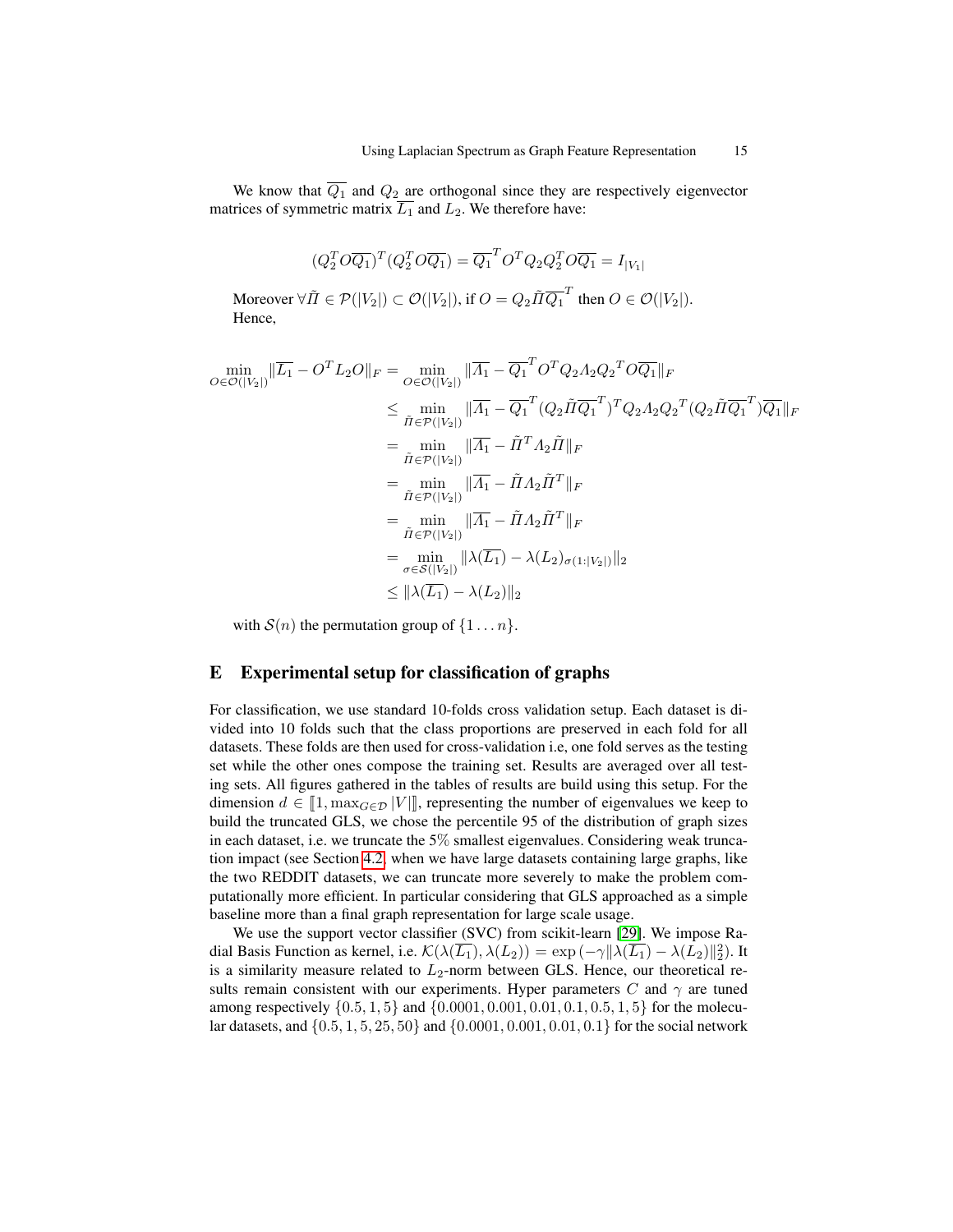We know that  $\overline{Q_1}$  and  $Q_2$  are orthogonal since they are respectively eigenvector matrices of symmetric matrix  $\overline{L_1}$  and  $L_2$ . We therefore have:

$$
(Q_2^T O \overline{Q_1})^T (Q_2^T O \overline{Q_1}) = \overline{Q_1}^T O^T Q_2 Q_2^T O \overline{Q_1} = I_{|V_1|}
$$
  
Moreover  $\forall \tilde{\Pi} \in \mathcal{P}(|V_2|) \subset \mathcal{O}(|V_2|)$ , if  $O = Q_2 \tilde{\Pi} \overline{Q_1}^T$  then  $O \in \mathcal{O}(|V_2|)$ .  
Hence,

$$
\min_{O \in \mathcal{O}(|V_2|)} \|\overline{L_1} - O^T L_2 O\|_F = \min_{O \in \mathcal{O}(|V_2|)} \|\overline{A_1} - \overline{Q_1}^T O^T Q_2 A_2 Q_2^T O \overline{Q_1}\|_F
$$
\n
$$
\leq \min_{\tilde{\Pi} \in \mathcal{P}(|V_2|)} \|\overline{A_1} - \overline{Q_1}^T (Q_2 \tilde{\Pi} \overline{Q_1}^T)^T Q_2 A_2 Q_2^T (Q_2 \tilde{\Pi} \overline{Q_1}^T) \overline{Q_1}\|_F
$$
\n
$$
= \min_{\tilde{\Pi} \in \mathcal{P}(|V_2|)} \|\overline{A_1} - \tilde{\Pi}^T A_2 \tilde{\Pi}\|_F
$$
\n
$$
= \min_{\tilde{\Pi} \in \mathcal{P}(|V_2|)} \|\overline{A_1} - \tilde{\Pi} A_2 \tilde{\Pi}^T\|_F
$$
\n
$$
= \min_{\tilde{\Pi} \in \mathcal{P}(|V_2|)} \|\overline{A_1} - \tilde{\Pi} A_2 \tilde{\Pi}^T\|_F
$$
\n
$$
= \min_{\sigma \in \mathcal{S}(|V_2|)} \|\lambda(\overline{L_1}) - \lambda(L_2)_{\sigma(1:|V_2|)}\|_2
$$
\n
$$
\leq \|\lambda(\overline{L_1}) - \lambda(L_2)\|_2
$$

with  $S(n)$  the permutation group of  $\{1 \dots n\}$ .

## <span id="page-14-0"></span>E Experimental setup for classification of graphs

For classification, we use standard 10-folds cross validation setup. Each dataset is divided into 10 folds such that the class proportions are preserved in each fold for all datasets. These folds are then used for cross-validation i.e, one fold serves as the testing set while the other ones compose the training set. Results are averaged over all testing sets. All figures gathered in the tables of results are build using this setup. For the dimension  $d \in [1, \max_{G \in \mathcal{D}} |V|]$ , representing the number of eigenvalues we keep to build the truncated GLS, we chose the percentile 95 of the distribution of graph sizes in each dataset, i.e. we truncate the 5% smallest eigenvalues. Considering weak truncation impact (see Section [4.2,](#page-6-0) when we have large datasets containing large graphs, like the two REDDIT datasets, we can truncate more severely to make the problem computationally more efficient. In particular considering that GLS approached as a simple baseline more than a final graph representation for large scale usage.

We use the support vector classifier (SVC) from scikit-learn [\[29\]](#page-11-22). We impose Radial Basis Function as kernel, i.e.  $\mathcal{K}(\lambda(\overline{L_1}), \lambda(L_2)) = \exp(-\gamma \|\lambda(\overline{L_1}) - \lambda(L_2)\|_2^2)$ . It is a similarity measure related to  $L_2$ -norm between GLS. Hence, our theoretical results remain consistent with our experiments. Hyper parameters C and  $\gamma$  are tuned among respectively  $\{0.5, 1, 5\}$  and  $\{0.0001, 0.001, 0.01, 0.1, 0.5, 1, 5\}$  for the molecular datasets, and {0.5, 1, 5, 25, 50} and {0.0001, 0.001, 0.01, 0.1} for the social network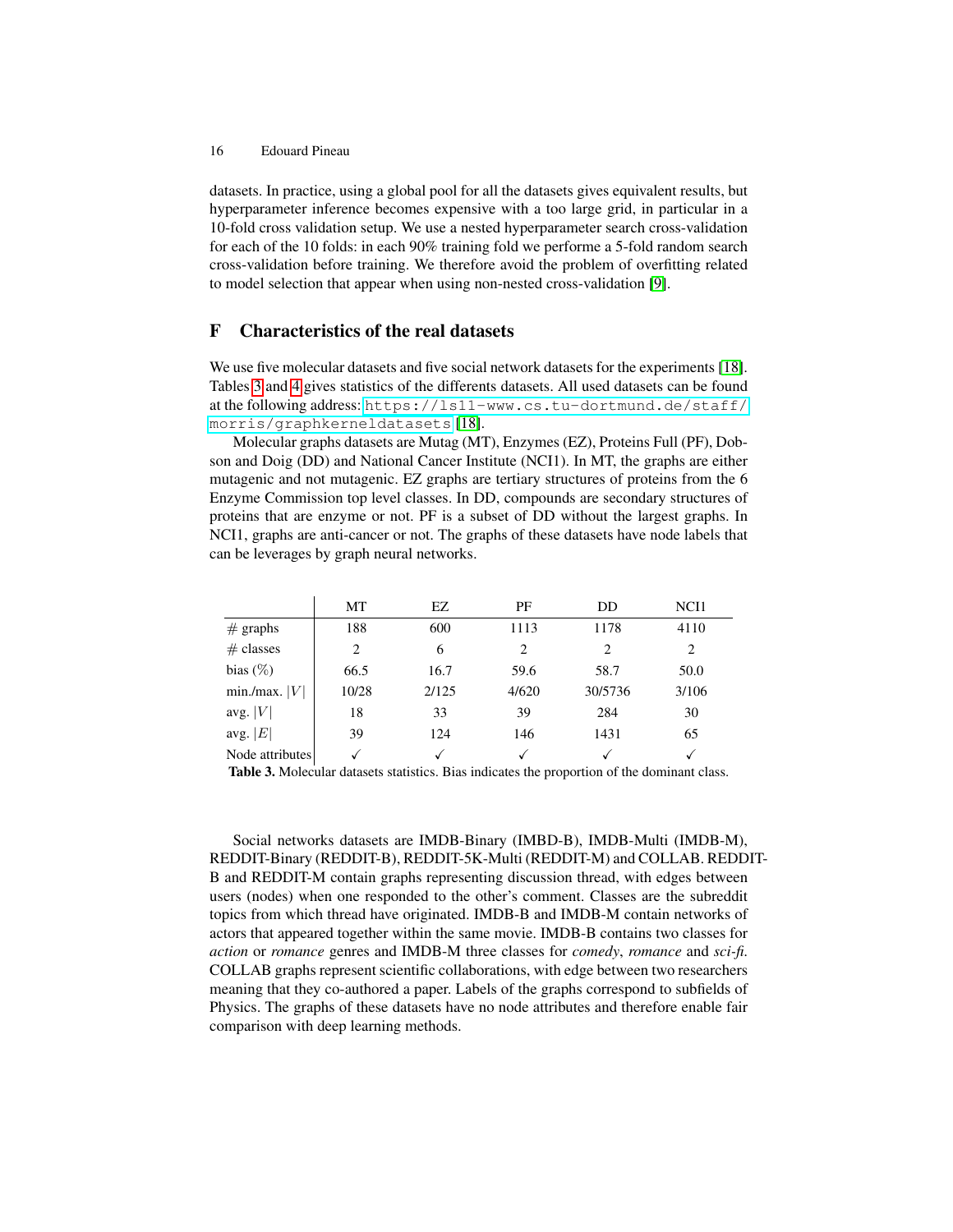datasets. In practice, using a global pool for all the datasets gives equivalent results, but hyperparameter inference becomes expensive with a too large grid, in particular in a 10-fold cross validation setup. We use a nested hyperparameter search cross-validation for each of the 10 folds: in each 90% training fold we performe a 5-fold random search cross-validation before training. We therefore avoid the problem of overfitting related to model selection that appear when using non-nested cross-validation [\[9\]](#page-10-21).

## <span id="page-15-1"></span>F Characteristics of the real datasets

We use five molecular datasets and five social network datasets for the experiments [\[18\]](#page-10-12). Tables [3](#page-15-0) and [4](#page-16-0) gives statistics of the differents datasets. All used datasets can be found at the following address: [https://ls11-www.cs.tu-dortmund.de/staff/](https://ls11-www.cs.tu-dortmund.de/staff/morris/graphkerneldatasets) [morris/graphkerneldatasets](https://ls11-www.cs.tu-dortmund.de/staff/morris/graphkerneldatasets) [\[18\]](#page-10-12).

Molecular graphs datasets are Mutag (MT), Enzymes (EZ), Proteins Full (PF), Dobson and Doig (DD) and National Cancer Institute (NCI1). In MT, the graphs are either mutagenic and not mutagenic. EZ graphs are tertiary structures of proteins from the 6 Enzyme Commission top level classes. In DD, compounds are secondary structures of proteins that are enzyme or not. PF is a subset of DD without the largest graphs. In NCI1, graphs are anti-cancer or not. The graphs of these datasets have node labels that can be leverages by graph neural networks.

|                 | МT    | EZ.   | PF    | DD      | NCI1  |
|-----------------|-------|-------|-------|---------|-------|
| $#$ graphs      | 188   | 600   | 1113  | 1178    | 4110  |
| $#$ classes     | 2     | 6     | 2     | 2       | 2     |
| bias $(\%)$     | 66.5  | 16.7  | 59.6  | 58.7    | 50.0  |
| min./max.  V    | 10/28 | 2/125 | 4/620 | 30/5736 | 3/106 |
| avg. $ V $      | 18    | 33    | 39    | 284     | 30    |
| avg. $ E $      | 39    | 124   | 146   | 1431    | 65    |
| Node attributes |       |       | V     |         |       |

<span id="page-15-0"></span>Table 3. Molecular datasets statistics. Bias indicates the proportion of the dominant class.

Social networks datasets are IMDB-Binary (IMBD-B), IMDB-Multi (IMDB-M), REDDIT-Binary (REDDIT-B), REDDIT-5K-Multi (REDDIT-M) and COLLAB. REDDIT-B and REDDIT-M contain graphs representing discussion thread, with edges between users (nodes) when one responded to the other's comment. Classes are the subreddit topics from which thread have originated. IMDB-B and IMDB-M contain networks of actors that appeared together within the same movie. IMDB-B contains two classes for *action* or *romance* genres and IMDB-M three classes for *comedy*, *romance* and *sci-fi*. COLLAB graphs represent scientific collaborations, with edge between two researchers meaning that they co-authored a paper. Labels of the graphs correspond to subfields of Physics. The graphs of these datasets have no node attributes and therefore enable fair comparison with deep learning methods.